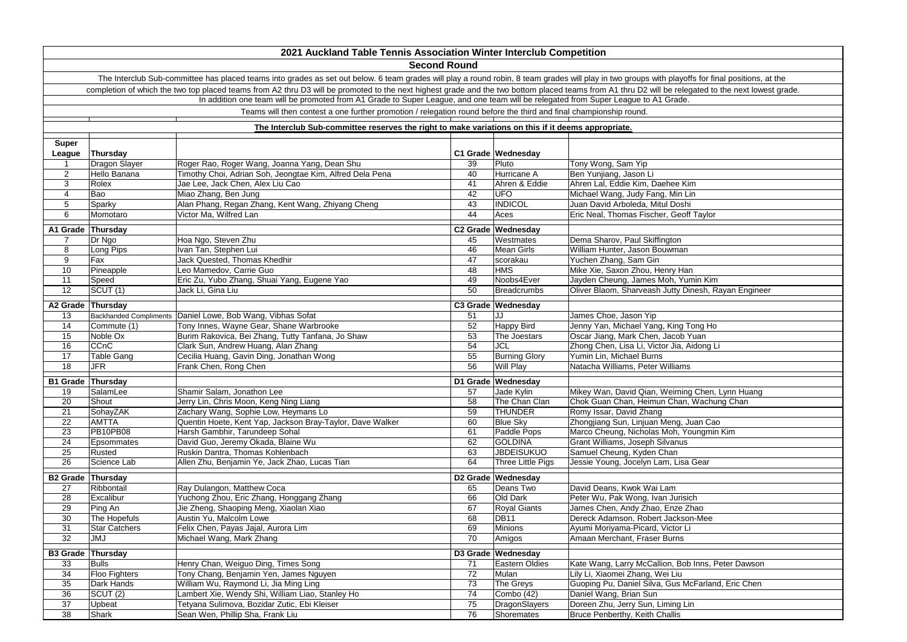|                          |                      | 2021 Auckland Table Tennis Association Winter Interclub Competition                                                                                                                                 |          |                      |                                                      |
|--------------------------|----------------------|-----------------------------------------------------------------------------------------------------------------------------------------------------------------------------------------------------|----------|----------------------|------------------------------------------------------|
|                          |                      | <b>Second Round</b>                                                                                                                                                                                 |          |                      |                                                      |
|                          |                      | The Interclub Sub-committee has placed teams into grades as set out below. 6 team grades will play a round robin, 8 team grades will play in two groups with playoffs for final positions, at the   |          |                      |                                                      |
|                          |                      | completion of which the two top placed teams from A2 thru D3 will be promoted to the next highest grade and the two bottom placed teams from A1 thru D2 will be relegated to the next lowest grade. |          |                      |                                                      |
|                          |                      | In addition one team will be promoted from A1 Grade to Super League, and one team will be relegated from Super League to A1 Grade.                                                                  |          |                      |                                                      |
|                          |                      | Teams will then contest a one further promotion / relegation round before the third and final championship round.                                                                                   |          |                      |                                                      |
|                          |                      |                                                                                                                                                                                                     |          |                      |                                                      |
|                          |                      | The Interclub Sub-committee reserves the right to make variations on this if it deems appropriate.                                                                                                  |          |                      |                                                      |
| Super                    |                      |                                                                                                                                                                                                     |          |                      |                                                      |
| League                   | Thursday             |                                                                                                                                                                                                     |          | C1 Grade Wednesday   |                                                      |
| $\mathbf{1}$             | Dragon Slayer        | Roger Rao, Roger Wang, Joanna Yang, Dean Shu                                                                                                                                                        | 39       | Pluto                | Tony Wong, Sam Yip                                   |
| $\overline{2}$           | Hello Banana         | Timothy Choi, Adrian Soh, Jeongtae Kim, Alfred Dela Pena                                                                                                                                            | 40       | Hurricane A          | Ben Yunjiang, Jason Li                               |
| 3                        | Rolex                | Jae Lee, Jack Chen, Alex Liu Cao                                                                                                                                                                    | 41       | Ahren & Eddie        | Ahren Lal, Eddie Kim, Daehee Kim                     |
| $\overline{4}$           | Bao                  | Miao Zhang, Ben Jung                                                                                                                                                                                | 42       | <b>UFO</b>           | Michael Wang, Judy Fang, Min Lin                     |
| 5                        | Sparky               | Alan Phang, Regan Zhang, Kent Wang, Zhiyang Cheng                                                                                                                                                   | 43       | <b>INDICOL</b>       | Juan David Arboleda, Mitul Doshi                     |
| 6                        | Momotaro             | Victor Ma, Wilfred Lan                                                                                                                                                                              | 44       | Aces                 | Eric Neal, Thomas Fischer, Geoff Taylor              |
| A1 Grade Thursday        |                      |                                                                                                                                                                                                     |          | C2 Grade Wednesday   |                                                      |
| 7                        | Dr Ngo               | Hoa Ngo, Steven Zhu                                                                                                                                                                                 | 45       | Westmates            | Dema Sharov, Paul Skiffington                        |
| 8                        | Long Pips            | Ivan Tan, Stephen Lui                                                                                                                                                                               | 46       | Mean Girls           | William Hunter, Jason Bouwman                        |
| 9                        | Fax                  | Jack Quested, Thomas Khedhir                                                                                                                                                                        | 47       | scorakau             | Yuchen Zhang, Sam Gin                                |
| 10                       | Pineapple            | Leo Mamedov, Carrie Guo                                                                                                                                                                             | 48       | <b>HMS</b>           | Mike Xie, Saxon Zhou, Henry Han                      |
| 11                       | Speed                | Eric Zu, Yubo Zhang, Shuai Yang, Eugene Yao                                                                                                                                                         | 49       | Noobs4Ever           | Jayden Cheung, James Moh, Yumin Kim                  |
| $\overline{12}$          | SCUT(1)              | Jack Li, Gina Liu                                                                                                                                                                                   | 50       | <b>Breadcrumbs</b>   | Oliver Blaom, Sharveash Jutty Dinesh, Rayan Engineer |
| A2 Grade                 | Thursday             |                                                                                                                                                                                                     |          | C3 Grade Wednesday   |                                                      |
| 13                       |                      | Backhanded Compliments Daniel Lowe, Bob Wang, Vibhas Sofat                                                                                                                                          | 51       | JJ                   | James Choe, Jason Yip                                |
| 14                       | Commute (1)          | Tony Innes, Wayne Gear, Shane Warbrooke                                                                                                                                                             | 52       | Happy Bird           | Jenny Yan, Michael Yang, King Tong Ho                |
| 15                       | Noble Ox             | Burim Rakovica, Bei Zhang, Tutty Tanfana, Jo Shaw                                                                                                                                                   | 53       | The Joestars         | Oscar Jiang, Mark Chen, Jacob Yuan                   |
| 16                       | CCnC                 | Clark Sun, Andrew Huang, Alan Zhang                                                                                                                                                                 | 54       | <b>JCL</b>           | Zhong Chen, Lisa Li, Victor Jia, Aidong Li           |
| 17                       | Table Gang           | Cecilia Huang, Gavin Ding, Jonathan Wong                                                                                                                                                            | 55       | <b>Burning Glory</b> | Yumin Lin, Michael Burns                             |
| $\overline{18}$          | JFR                  | Frank Chen, Rong Chen                                                                                                                                                                               | 56       | <b>Will Play</b>     | Natacha Williams, Peter Williams                     |
| B1 Grade Thursday        |                      |                                                                                                                                                                                                     |          | D1 Grade Wednesday   |                                                      |
| 19                       | SalamLee             | Shamir Salam, Jonathon Lee                                                                                                                                                                          | 57       | Jade Kylin           | Mikey Wan, David Qian, Weiming Chen, Lynn Huang      |
| 20                       | Shout                | Jerry Lin, Chris Moon, Keng Ning Liang                                                                                                                                                              | 58       | The Chan Clan        | Chok Guan Chan, Heimun Chan, Wachung Chan            |
| 21                       | SohayZAK             | Zachary Wang, Sophie Low, Heymans Lo                                                                                                                                                                | 59       | <b>THUNDER</b>       | Romy Issar, David Zhang                              |
| $\overline{22}$          | <b>AMTTA</b>         | Quentin Hoete, Kent Yap, Jackson Bray-Taylor, Dave Walker                                                                                                                                           | 60       | <b>Blue Sky</b>      | Zhongjiang Sun, Linjuan Meng, Juan Cao               |
| 23                       | <b>PB10PB08</b>      | Harsh Gambhir, Tarundeep Sohal                                                                                                                                                                      | 61       | Paddle Pops          | Marco Cheung, Nicholas Moh, Youngmin Kim             |
| 24                       | Epsommates           | David Guo, Jeremy Okada, Blaine Wu                                                                                                                                                                  | 62       | <b>GOLDINA</b>       | Grant Williams, Joseph Silvanus                      |
| 25                       | Rusted               | Ruskin Dantra, Thomas Kohlenbach                                                                                                                                                                    | 63<br>64 | <b>JBDEISUKUO</b>    | Samuel Cheung, Kyden Chan                            |
| 26                       | Science Lab          | Allen Zhu, Benjamin Ye, Jack Zhao, Lucas Tian                                                                                                                                                       |          | Three Little Pigs    | Jessie Young, Jocelyn Lam, Lisa Gear                 |
| B2 Grade Thursday        |                      |                                                                                                                                                                                                     |          | D2 Grade Wednesday   |                                                      |
| 27                       | Ribbontail           | Ray Dulangon, Matthew Coca                                                                                                                                                                          | 65       | Deans Two            | David Deans, Kwok Wai Lam                            |
| 28                       | Excalibur            | Yuchong Zhou, Eric Zhang, Honggang Zhang                                                                                                                                                            | 66       | Old Dark             | Peter Wu, Pak Wong, Ivan Jurisich                    |
| 29                       | Ping An              | Jie Zheng, Shaoping Meng, Xiaolan Xiao                                                                                                                                                              | 67       | <b>Royal Giants</b>  | James Chen, Andy Zhao, Enze Zhao                     |
| 30                       | The Hopefuls         | Austin Yu, Malcolm Lowe                                                                                                                                                                             | 68       | DB11                 | Dereck Adamson, Robert Jackson-Mee                   |
| 31                       | <b>Star Catchers</b> | Felix Chen, Payas Jajal, Aurora Lim                                                                                                                                                                 | 69       | Minions              | Ayumi Moriyama-Picard, Victor Li                     |
| 32                       | <b>JMJ</b>           | Michael Wang, Mark Zhang                                                                                                                                                                            | 70       | Amigos               | Amaan Merchant, Fraser Burns                         |
| <b>B3 Grade Thursday</b> |                      |                                                                                                                                                                                                     |          | D3 Grade Wednesday   |                                                      |
| 33                       | Bulls                | Henry Chan, Weiguo Ding, Times Song                                                                                                                                                                 | 71       | Eastern Oldies       | Kate Wang, Larry McCallion, Bob Inns, Peter Dawson   |
| 34                       | Floo Fighters        | Tony Chang, Benjamin Yen, James Nguyen                                                                                                                                                              | 72       | Mulan                | Lily Li, Xiaomei Zhang, Wei Liu                      |
| 35                       | Dark Hands           | William Wu, Raymond Li, Jia Ming Ling                                                                                                                                                               | 73       | The Greys            | Guoping Pu, Daniel Silva, Gus McFarland, Eric Chen   |
| 36                       | SCUT (2)             | Lambert Xie, Wendy Shi, William Liao, Stanley Ho                                                                                                                                                    | 74       | Combo (42)           | Daniel Wang, Brian Sun                               |
| 37                       | Upbeat               | Tetyana Sulimova, Bozidar Zutic, Ebi Kleiser                                                                                                                                                        | 75       | DragonSlayers        | Doreen Zhu, Jerry Sun, Liming Lin                    |
| 38                       | Shark                | Sean Wen, Phillip Sha, Frank Liu                                                                                                                                                                    | 76       | Shoremates           | Bruce Penberthy, Keith Challis                       |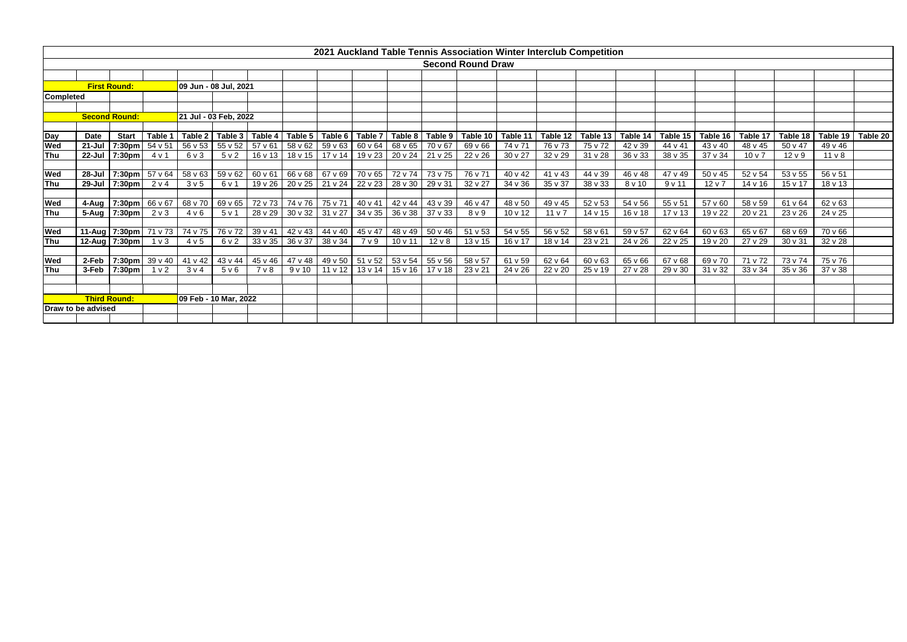|                  |                    |                      |                |                  |                       |         |                         |                             |                 |              |              | <b>Second Round Draw</b> |              |                 |                 |          |                     |                    |                 |             |                    |          |
|------------------|--------------------|----------------------|----------------|------------------|-----------------------|---------|-------------------------|-----------------------------|-----------------|--------------|--------------|--------------------------|--------------|-----------------|-----------------|----------|---------------------|--------------------|-----------------|-------------|--------------------|----------|
|                  |                    |                      |                |                  |                       |         |                         |                             |                 |              |              |                          |              |                 |                 |          |                     |                    |                 |             |                    |          |
|                  |                    | <b>First Round:</b>  |                |                  | 09 Jun - 08 Jul, 2021 |         |                         |                             |                 |              |              |                          |              |                 |                 |          |                     |                    |                 |             |                    |          |
| <b>Completed</b> |                    |                      |                |                  |                       |         |                         |                             |                 |              |              |                          |              |                 |                 |          |                     |                    |                 |             |                    |          |
|                  |                    |                      |                |                  |                       |         |                         |                             |                 |              |              |                          |              |                 |                 |          |                     |                    |                 |             |                    |          |
|                  |                    | <b>Second Round:</b> |                |                  | 21 Jul - 03 Feb, 2022 |         |                         |                             |                 |              |              |                          |              |                 |                 |          |                     |                    |                 |             |                    |          |
| Day              | Date               | <b>Start</b>         | Table 1        |                  | Table 2 Table 3       | Table 4 |                         | Table 5   Table 6   Table 7 |                 | Table 8      | Table 9      | Table 10                 | Table 11     | Table 12        | Table 13        | Table 14 | Table 15   Table 16 |                    | Table 17        | Table 18    | Table 19           | Table 20 |
| Wed              | 21-Jul             | 7:30pm               | 54 v 51        |                  | 56 v 53 55 v 52       | 57 v 61 | 58 v 62 59 v 63         |                             | 60 v 64         | 68 v 65      | 70 v 67      | 69 v 66                  | 74 v 71      | 76 v 73         | $75\,\sqrt{72}$ | 42 v 39  | 44 v 41             | 43 v 40            | 48 v 45         | 50 v 47     | 49 v 46            |          |
| Thu              |                    | 22-Jul 7:30pm        | 4 v 1          | $6v$ 3           | 5v2                   | 16 v 13 |                         | 18 v 15 17 v 14             | 19 v 23 20 v 24 |              | 21 v 25      | 22 v 26                  | 30 v 27      | 32 v 29         | 31 v 28         | 36 v 33  | 38 v 35             | 37 v 34            | 10 <sub>v</sub> | $12 \vee 9$ | 11 <sub>V</sub> 8  |          |
|                  |                    |                      |                |                  |                       |         |                         |                             |                 |              |              |                          |              |                 |                 |          |                     |                    |                 |             |                    |          |
| Wed              |                    | 28-Jul 7:30pm        | 57 v 64        |                  | 58 v 63 59 v 62       | 60 v 61 | 66 v 68 67 v 69         |                             | $70\,\sqrt{65}$ | 72 v 74      | 73 v 75      | 76 v 71                  | $40 \vee 42$ | 41 v 43         | 44 v 39         | 46 v 48  | 47 v 49             | 50 v 45            | 52 v 54         | 53 v 55     | 56 v 51            |          |
| Thu              |                    | 29-Jul 7:30pm        | 2 v 4          | 3 <sub>v</sub> 5 | 6 v 1                 | 19 v 26 | 20 v 25                 | 21 v 24                     | 22 v 23         | 28 v 30      | 29 v 31      | 32 v 27                  | 34 v 36      | 35 v 37         | 38 v 33         | 8 v 10   | 9v11                | $12 \vee 7$        | 14 v 16         | 15 v 17     | 18 v 13            |          |
| Wed              |                    | 4-Aug 7:30pm         | 66 v 67        | 68 v 70          | 69 v 65               |         | 72 v 73 74 v 76 75 v 71 |                             | 40 v 41         | 42 v 44      | 43 v 39      | 46 v 47                  | 48 v 50      | 49 v 45         | 52 v 53         | 54 v 56  | 55 v 51             | 57 v 60            | 58 v 59         | 61 v 64     | 62 v 63            |          |
| Thu              |                    | 5-Aug 7:30pm         | $2 \vee 3$     | 4 v 6            | 5v1                   | 28 v 29 | 30 v 32                 | $31 \vee 27$                | 34 v 35         | 36 v 38      | 37 v 33      | 8 <sub>V</sub> 9         | $10 \vee 12$ | 11 <sub>v</sub> | 14 v 15         | 16 v 18  | $17 \vee 13$        | 19 v 22            | 20 v 21         | 23 v 26     | 24 v 25            |          |
|                  |                    |                      |                |                  |                       |         |                         |                             |                 |              |              |                          |              |                 |                 |          |                     |                    |                 |             |                    |          |
| Wed              |                    | 11-Aug 7:30pm        | 71 v 73        | 74 v 75          | 76 v 72               | 39 v 41 | 42 v 43                 | $44 \times 40$              | 45 v 47         | 48 v 49      | 50 v 46      | 51 v 53                  | 54 v 55      | 56 v 52         | 58 v 61         | 59 v 57  | 62 v 64             | 60 v 63            | 65 v 67         | 68 v 69     | 70 v 66            |          |
| Thu              |                    | 12-Aug 7:30pm        | 1 <sub>v</sub> | 4 v 5            | 6 v 2                 | 33 v 35 | 36 v 37                 | $38 \vee 34$                | 7 v 9           | 10 v 11      | $12 \vee 8$  | 13 v 15                  | 16 v 17      | 18 v 14         | 23 v 21         | 24 v 26  | 22 v 25             | 19 v 20            | 27 v 29         | 30 v 31     | 32 v 28            |          |
|                  |                    |                      |                |                  |                       |         |                         |                             |                 |              |              |                          |              |                 |                 |          |                     |                    |                 |             |                    |          |
| Wed<br>Thu       | 2-Feb<br>3-Feb     | 7:30pm               | 39 v 40        | 41 v 42          | 43 v 44               | 45 v 46 | 47 v 48                 | 49 v 50                     | 51 v 52         | 53 v 54      | 55 v 56      | 58 v 57                  | 61 v 59      | 62 v 64         | 60 v 63         | 65 v 66  | 67 v 68             | 69 v 70<br>31 v 32 | 71 v 72         | 73 v 74     | 75 v 76<br>37 v 38 |          |
|                  |                    | 7:30pm               | 1 <sub>v</sub> | $3 \vee 4$       | 5 v 6                 | 7 v 8   | 9v10                    | 11 v 12                     | $13 \vee 14$    | $15 \vee 16$ | $17 \vee 18$ | 23 v 21                  | 24 v 26      | 22 v 20         | 25 v 19         | 27 v 28  | 29 v 30             |                    | 33 v 34         | 35 v 36     |                    |          |
|                  |                    |                      |                |                  |                       |         |                         |                             |                 |              |              |                          |              |                 |                 |          |                     |                    |                 |             |                    |          |
|                  |                    | <b>Third Round:</b>  |                |                  | 09 Feb - 10 Mar, 2022 |         |                         |                             |                 |              |              |                          |              |                 |                 |          |                     |                    |                 |             |                    |          |
|                  | Draw to be advised |                      |                |                  |                       |         |                         |                             |                 |              |              |                          |              |                 |                 |          |                     |                    |                 |             |                    |          |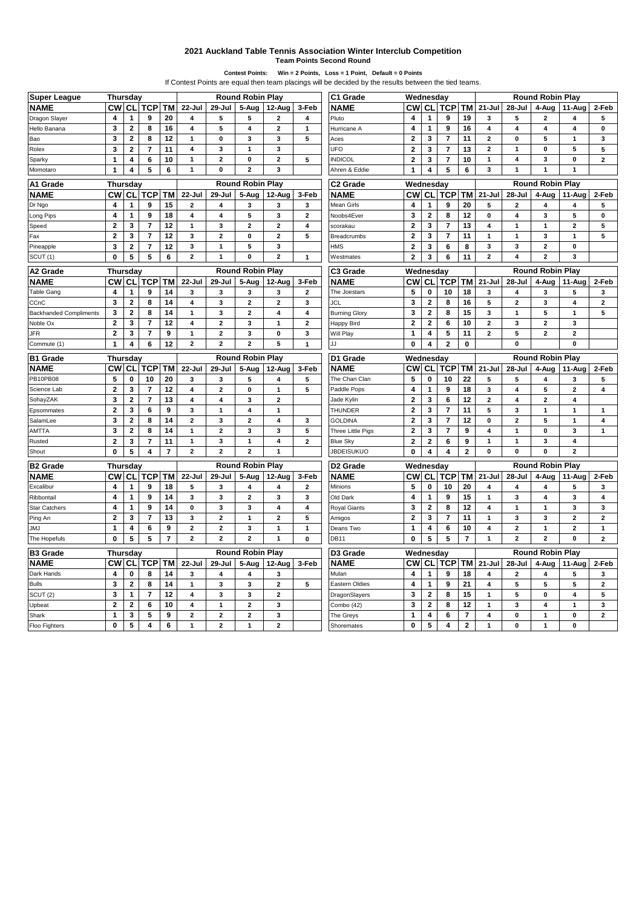## **2021 Auckland Table Tennis Association Winter Interclub Competition**

**Team Points Second Round**

**Contest Points: Win = 2 Points, Loss = 1 Point, Default = 0 Points**

|                                |                         |                                                 |                         |                      |                         | If Contest Points are equal then team placings will be decided by the results between the tied teams. |                              |                         |                |                                      |                         |                          |                         |                          |                         |                         |                         |                         |                         |
|--------------------------------|-------------------------|-------------------------------------------------|-------------------------|----------------------|-------------------------|-------------------------------------------------------------------------------------------------------|------------------------------|-------------------------|----------------|--------------------------------------|-------------------------|--------------------------|-------------------------|--------------------------|-------------------------|-------------------------|-------------------------|-------------------------|-------------------------|
| <b>Super League</b>            | Thursday                |                                                 |                         |                      |                         |                                                                                                       | <b>Round Robin Play</b>      |                         |                | C1 Grade                             | Wednesday               |                          |                         |                          |                         |                         | <b>Round Robin Play</b> |                         |                         |
| <b>NAME</b>                    | <b>CW</b>               | <b>CL</b>                                       | <b>TCP</b>              | TM                   | 22-Jul                  | 29-Jul                                                                                                | 5-Aug                        | 12-Aug                  | 3-Feb          | <b>NAME</b>                          | <b>CW</b>               | CL                       | <b>TCP</b>              | TM                       | $21 -$ Jul              | 28-Jul                  | 4-Aug                   | 11-Aug                  | 2-Feb                   |
| Dragon Slayer                  | 4                       | 1                                               | 9                       | 20                   | 4                       | 5                                                                                                     | 5                            | $\mathbf{z}$            | 4              | Pluto                                | 4                       | 1                        | 9                       | 19                       | 3                       | 5                       | $\overline{\mathbf{2}}$ | $\overline{\mathbf{4}}$ | 5                       |
| Hello Banana                   | 3                       | $\mathbf{2}$                                    | 8                       | 16                   | 4                       | 5                                                                                                     | 4                            | $\overline{\mathbf{2}}$ | $\mathbf{1}$   | Hurricane A                          | 4                       | $\mathbf{1}$             | 9                       | 16                       | 4                       | 4                       | $\overline{4}$          | 4                       | 0                       |
| Bao                            | 3                       | $\overline{\mathbf{2}}$                         | 8                       | 12                   | 1                       | 0                                                                                                     | 3                            | 3                       | 5              | Aces                                 | $\mathbf{2}$            | 3                        | 7                       | 11                       | $\mathbf{2}$            | $\pmb{0}$               | 5                       | 1                       | 3                       |
| Rolex                          | 3                       | $\mathbf{2}$                                    | $\overline{7}$          | 11                   | 4                       | 3                                                                                                     | $\mathbf{1}$                 | 3                       |                | UFO                                  | $\mathbf{2}$            | 3                        | $\overline{7}$          | 13                       | $\mathbf{2}$            | $\mathbf{1}$            | $\bf{0}$                | 5                       | 5                       |
| Sparky                         | 1                       | $\overline{\mathbf{4}}$                         | 6                       | 10                   | 1                       | $\overline{2}$                                                                                        | 0                            | $\overline{a}$          | 5              | <b>NDICOL</b>                        | $\mathbf 2$             | 3                        | $\overline{7}$          | 10                       | 1                       | 4                       | 3                       | 0                       | $\overline{a}$          |
| Momotaro                       | 1                       | 4                                               | 5                       | 6                    | $\mathbf{1}$            | 0                                                                                                     | $\overline{\mathbf{2}}$      | 3                       |                | Ahren & Eddie                        | 1                       | 4                        | 5                       | 6                        | 3                       | $\mathbf{1}$            | $\overline{1}$          | $\mathbf{1}$            |                         |
| A1 Grade                       | Thursday                |                                                 |                         |                      |                         |                                                                                                       | <b>Round Robin Play</b>      |                         |                | C <sub>2</sub> Grade                 | Wednesday               |                          |                         |                          |                         |                         | <b>Round Robin Play</b> |                         |                         |
| <b>NAME</b>                    | СW                      | <b>CL</b>                                       | <b>TCP</b>              | ΤM                   | 22-Jul                  | 29-Jul                                                                                                | 5-Aug                        | 12-Aug                  | 3-Feb          | <b>NAME</b>                          | <b>CW</b>               | CL                       | <b>TCP</b>              | TM                       | $21 -$ Jul              | 28-Jul                  | 4-Aug                   | 11-Aug                  | 2-Feb                   |
| Dr Ngo                         | 4                       | 1                                               | 9                       | 15                   | $\mathbf{2}$            | 4                                                                                                     | 3                            | 3                       | 3              | Mean Girls                           | 4                       | 1                        | 9                       | 20                       | 5                       | $\overline{\mathbf{2}}$ | 4                       | 4                       | 5                       |
| Long Pips                      | 4                       | 1                                               | 9                       | 18                   | 4                       | 4                                                                                                     | 5                            | 3                       | $\mathbf{2}$   | Noobs4Ever                           | 3                       | $\overline{2}$           | 8                       | 12                       | 0                       | 4                       | 3                       | 5                       | 0                       |
| Speed                          | $\overline{\mathbf{c}}$ | 3                                               | $\overline{7}$          | 12                   | 1                       | 3                                                                                                     | $\overline{\mathbf{2}}$      | $\mathbf{z}$            | 4              | scorakau                             | $\mathbf 2$             | 3                        | $\overline{7}$          | 13                       | 4                       | $\mathbf{1}$            | 1                       | $\overline{\mathbf{2}}$ | 5                       |
| Fax                            | $\mathbf 2$             | 3                                               | $\overline{7}$          | 12                   | 3                       | $\overline{\mathbf{c}}$                                                                               | $\pmb{0}$                    | $\mathbf{z}$            | 5              | Breadcrumbs                          | $\overline{\mathbf{2}}$ | 3                        | $\overline{\mathbf{r}}$ | 11                       | $\mathbf{1}$            | $\mathbf{1}$            | 3                       | $\mathbf{1}$            | 5                       |
| Pineapple                      | 3                       | $\overline{\mathbf{2}}$                         | $\overline{7}$          | 12                   | 3                       | 1                                                                                                     | 5                            | $\overline{\mathbf{3}}$ |                | HMS                                  | $\mathbf{2}$            | 3                        | 6                       | 8                        | 3                       | 3                       | $\overline{\mathbf{2}}$ | $\bf{0}$                |                         |
| SCUT (1)                       | 0                       | 5                                               | 5                       | 6                    | $\mathbf{2}$            | 1                                                                                                     | 0                            | $\overline{\mathbf{c}}$ | $\mathbf{1}$   | Westmates                            | $\mathbf{2}$            | 3                        | 6                       | 11                       | $\mathbf{2}$            | 4                       | $\overline{2}$          | 3                       |                         |
| A2 Grade                       |                         | <b>Round Robin Play</b><br>C3 Grade<br>Thursday |                         |                      |                         |                                                                                                       |                              |                         | Wednesday      |                                      |                         |                          |                         |                          | <b>Round Robin Play</b> |                         |                         |                         |                         |
| <b>NAME</b>                    | <b>CW</b>               | CL                                              | TCP                     | ТM                   | 22-Jul                  | 29-Jul                                                                                                | 5-Aug                        | 12-Aug                  | 3-Feb          | <b>NAME</b>                          | <b>CW</b>               | СL                       | TCP                     | TМ                       | $21 -$ Jul              | 28-Jul                  | 4-Aug                   | 11-Aug                  | 2-Feb                   |
| Table Gang                     | 4                       | 1                                               | 9                       | 14                   | 3                       | 3                                                                                                     | 3                            | 3                       | $\overline{2}$ | The Joestars                         | 5                       | 0                        | 10                      | 18                       | 3                       | 4                       | 3                       | 5                       | 3                       |
| CCnC                           | 3                       | $\mathbf{2}$                                    | 8                       | 14                   | 4                       | 3                                                                                                     | $\boldsymbol{2}$             | 2                       | 3              | JCL                                  | 3                       | 2                        | 8                       | 16                       | 5                       | 2                       | 3                       | 4                       | $\mathbf{z}$            |
| <b>Backhanded Compliments</b>  | 3                       | $\mathbf{2}$                                    | 8                       | 14                   | 1                       | 3                                                                                                     | $\boldsymbol{2}$             | 4                       | 4              | <b>Burning Glory</b>                 | 3                       | $\mathbf{2}$             | 8                       | 15                       | 3                       | $\mathbf{1}$            | 5                       | $\mathbf{1}$            | 5                       |
| Noble Ox                       | $\overline{\mathbf{c}}$ | 3                                               | $\overline{7}$          | 12                   | 4                       | $\overline{\mathbf{c}}$                                                                               | 3                            | 1                       | $\overline{2}$ | Happy Bird                           | $\mathbf{2}$            | $\mathbf{2}$             | 6                       | 10                       | $\mathbf{2}$            | 3                       | $\overline{\mathbf{2}}$ | 3                       |                         |
| JFR                            | $\mathbf{2}$            | 3                                               | $\overline{\mathbf{r}}$ | 9                    | 1                       | $\mathbf{2}$                                                                                          | 3                            | 0                       | 3              | Will Play                            | 1                       | 4                        | 5                       | 11                       | $\mathbf{2}$            | 5                       | $\mathbf{2}$            | $\mathbf{2}$            |                         |
| Commute (1)                    | $\mathbf{1}$            | 4                                               | 6                       | 12                   | $\overline{2}$          | $\mathbf{2}$                                                                                          | $\overline{2}$               | 5                       | $\mathbf{1}$   |                                      | 0                       | 4                        | 2                       | 0                        |                         | $\bf{0}$                |                         | $\mathbf 0$             |                         |
|                                |                         |                                                 |                         |                      |                         |                                                                                                       |                              |                         |                |                                      |                         |                          |                         |                          |                         |                         |                         |                         |                         |
|                                |                         |                                                 |                         |                      |                         |                                                                                                       |                              |                         |                |                                      |                         |                          |                         |                          |                         |                         |                         |                         |                         |
| <b>B1 Grade</b>                | Thursday                |                                                 |                         |                      |                         |                                                                                                       | <b>Round Robin Play</b>      |                         |                | D1 Grade                             | Wednesday               |                          |                         |                          |                         |                         | <b>Round Robin Play</b> |                         |                         |
| <b>NAME</b>                    | <b>CW</b>               | СL                                              | TCP                     | <b>TM</b>            | $22 -$ Jul              | 29-Jul                                                                                                | 5-Aug                        | 12-Aug                  | 3-Feb          | <b>NAME</b>                          | <b>CW</b>               | CL                       | TCP                     | ТM                       | $21 -$ Jul              | 28-Jul                  | 4-Aug                   | 11-Aug                  | 2-Feb                   |
| <b>PB10PB08</b><br>Science Lab | 5<br>$\overline{2}$     | $\mathbf 0$<br>3                                | 10<br>$\overline{7}$    | 20                   | 3<br>4                  | 3<br>$\mathbf{2}$                                                                                     | 5<br>$\mathbf 0$             | 4<br>$\mathbf{1}$       | 5<br>5         | The Chan Clan<br>Paddle Pops         | 5                       | $\bf{0}$<br>$\mathbf{1}$ | 10<br>9                 | 22                       | 5<br>3                  | 5<br>4                  | 4<br>5                  | 3<br>$\overline{2}$     | 5<br>4                  |
|                                | 3                       | $\mathbf{2}$                                    | $\overline{7}$          | 12<br>13             | 4                       | 4                                                                                                     | 3                            | 2                       |                |                                      | 4<br>$\overline{2}$     | 3                        | 6                       | 18<br>12                 | $\mathbf{2}$            | 4                       | $\overline{\mathbf{2}}$ | 4                       |                         |
| SohayZAK                       | $\mathbf{2}$            |                                                 |                         |                      |                         | 1                                                                                                     |                              |                         |                | Jade Kylin<br><b>THUNDER</b>         |                         |                          | 7                       |                          |                         |                         |                         | 1                       |                         |
| Epsommates<br>SalamLee         |                         | 3                                               | 6<br>8                  | 9                    | 3<br>$\mathbf{2}$       | 3                                                                                                     | 4<br>$\overline{2}$          | 1<br>4                  | 3              | <b>GOLDINA</b>                       | 2                       | 3                        | $\overline{7}$          | 11                       | 5<br>0                  | 3<br>$\overline{2}$     | 1<br>5                  | $\mathbf{1}$            | 1<br>4                  |
|                                | 3                       | $\mathbf{2}$                                    |                         | 14                   | 1                       | $\overline{a}$                                                                                        |                              | 3                       |                |                                      | $\overline{\mathbf{2}}$ | 3                        | $\overline{7}$          | 12                       | 4                       | $\mathbf{1}$            | $\mathbf 0$             | 3                       |                         |
| <b>AMTTA</b>                   | 3                       | $\overline{\mathbf{2}}$                         | 8                       | 14                   | $\mathbf{1}$            | 3                                                                                                     | 3<br>$\mathbf{1}$            | 4                       | 5              | Three Little Pigs                    | $\overline{\mathbf{2}}$ | 3                        |                         | 9                        | 1                       | $\mathbf{1}$            | 3                       | 4                       | $\mathbf{1}$            |
| Rusted<br>Shout                | $\mathbf 2$<br>0        | 3<br>5                                          | 7<br>4                  | 11<br>$\overline{7}$ | $\mathbf{2}$            | $\overline{2}$                                                                                        | $\overline{\mathbf{2}}$      | 1                       | $\mathbf{2}$   | <b>Blue Sky</b><br><b>JBDEISUKUO</b> | $\mathbf 2$<br>0        | 2<br>4                   | 6<br>4                  | 9<br>$\mathbf{2}$        | 0                       | 0                       | $\bf{0}$                | $\mathbf{2}$            |                         |
|                                |                         |                                                 |                         |                      |                         |                                                                                                       | <b>Round Robin Play</b>      |                         |                |                                      |                         |                          |                         |                          |                         |                         | <b>Round Robin Play</b> |                         |                         |
| <b>B2 Grade</b>                | Thursday<br><b>CW</b>   | CL                                              | <b>TCP</b>              | <b>TM</b>            | 22-Jul                  | 29-Jul                                                                                                | 5-Aug                        | 12-Aug                  | 3-Feb          | D <sub>2</sub> Grade<br><b>NAME</b>  | Wednesday<br><b>CW</b>  | <b>CL</b>                | <b>TCP</b>              | <b>TM</b>                | $21 -$ Jul              | 28-Jul                  |                         | 11-Aug                  | 2-Feb                   |
| <b>NAME</b><br>Excalibur       | 4                       | 1                                               | 9                       | 18                   | 5                       | 3                                                                                                     |                              | 4                       | $\mathbf{2}$   | Minions                              | 5                       | $\mathbf 0$              | 10                      | 20                       | 4                       | 4                       | 4-Aug<br>4              |                         | 3                       |
| Ribbontail                     | 4                       | $\mathbf{1}$                                    | $\mathbf{9}$            | 14                   | 3                       | 3                                                                                                     | 4<br>$\overline{\mathbf{2}}$ | 3                       | 3              | Old Dark                             | $\overline{\mathbf{4}}$ | 1                        | 9                       | 15                       | 1                       | 3                       | 4                       | 5<br>3                  | 4                       |
|                                | 4                       | 1                                               | 9                       | 14                   | 0                       | 3                                                                                                     | 3                            | 4                       | 4              | Royal Giants                         | 3                       | $\mathbf 2$              | 8                       | 12                       | 4                       | $\mathbf{1}$            | 1                       | 3                       | 3                       |
| <b>Star Catchers</b>           | $\overline{2}$          | 3                                               | $\overline{7}$          | 13                   | 3                       | $\overline{a}$                                                                                        | $\mathbf{1}$                 | $\overline{2}$          | 5              | Amigos                               | $\mathbf 2$             | 3                        | $\overline{7}$          | 11                       | $\mathbf{1}$            | $\overline{\mathbf{3}}$ | 3                       | $\overline{2}$          | $\overline{2}$          |
| Ping An<br><b>JMJ</b>          | 1                       | 4                                               | 6                       | 9                    | $\mathbf{2}$            | $\overline{2}$                                                                                        | 3                            | 1                       | $\mathbf{1}$   | Deans Two                            | 1                       | 4                        | 6                       | 10                       | 4                       | $\mathbf 2$             | $\mathbf{1}$            | $\overline{2}$          | 1                       |
| The Hopefuls                   | 0                       | 5                                               | 5                       | $\overline{7}$       | $\overline{2}$          | $\overline{2}$                                                                                        | $\overline{2}$               | $\mathbf{1}$            | $\mathbf 0$    | <b>DB11</b>                          | 0                       | 5                        | 5                       | $\overline{\phantom{a}}$ | 1                       | $\overline{\mathbf{2}}$ | $\overline{\mathbf{2}}$ | $\bf{0}$                | $\overline{2}$          |
| <b>B3 Grade</b>                | Thursday                |                                                 |                         |                      |                         |                                                                                                       | <b>Round Robin Play</b>      |                         |                | D3 Grade                             | Wednesday               |                          |                         |                          |                         |                         | <b>Round Robin Play</b> |                         |                         |
| <b>NAME</b>                    | СW                      | CL                                              | <b>TCP</b>              | ТM                   | 22-Jul                  | 29-Jul                                                                                                | 5-Aug                        | 12-Aug                  | 3-Feb          | <b>NAME</b>                          | <b>CW</b>               | CL                       | <b>TCP</b>              | ТM                       | $21 -$ Jul              | 28-Jul                  | 4-Aug                   | 11-Aug                  | 2-Feb                   |
| Dark Hands                     | 4                       | 0                                               | 8                       | 14                   | 3                       | 4                                                                                                     | 4                            | 3                       |                | Mulan                                | 4                       | 1                        | 9                       | 18                       | 4                       | $\overline{a}$          | 4                       | 5                       | 3                       |
| <b>Bulls</b>                   | 3                       | $\mathbf{2}$                                    | 8                       | 14                   | 1                       | 3                                                                                                     | 3                            | $\overline{\mathbf{2}}$ | 5              | Eastern Oldies                       | 4                       | 1                        | 9                       | 21                       | 4                       | 5                       | 5                       | 5                       | $\mathbf{2}$            |
| SCUT <sub>(2)</sub>            | 3                       | 1                                               | $\overline{7}$          | 12                   | 4                       | 3                                                                                                     | 3                            | $\overline{\mathbf{2}}$ |                | DragonSlayers                        | 3                       | $\mathbf{2}$             | 8                       | 15                       | 1                       | 5                       | 0                       | 4                       | 5                       |
| Upbeat                         | $\overline{2}$          | $\mathbf{2}$                                    | 6                       | 10                   | 4                       | 1                                                                                                     | $\mathbf 2$                  | 3                       |                | Combo (42)                           | 3                       | $\mathbf 2$              | 8                       | 12                       | 1                       | 3                       | $\overline{\mathbf{4}}$ | $\mathbf{1}$            | 3                       |
| Shark                          | 1                       | 3                                               | 5                       | 9                    | $\overline{\mathbf{c}}$ | $\overline{\mathbf{c}}$                                                                               | $\overline{2}$               | 3                       |                | The Greys                            | $\mathbf{1}$            | 4                        | 6                       | $\overline{7}$           | 4                       | $\mathbf 0$             | $\mathbf{1}$            | $\mathbf 0$             | $\overline{\mathbf{2}}$ |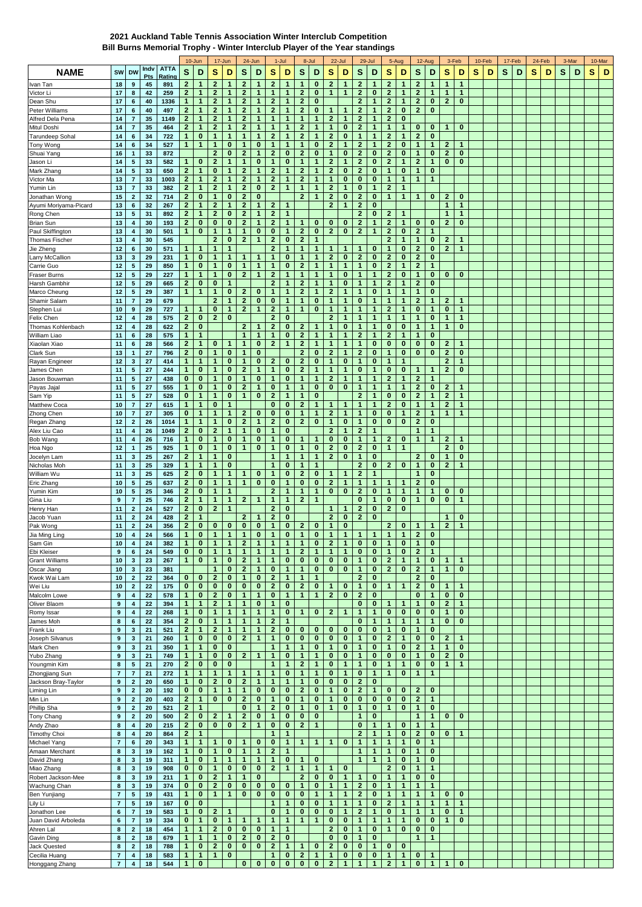## **2021 Auckland Table Tennis Association Winter Interclub Competition**

**Bill Burns Memorial Trophy - Winter Interclub Player of the Year standings**

|                                    |                                      |                            |             |                       |                              | 10-Jun                      | 17-Jun                       |                              | 24-Jun                       |                         | $1 -$ Jul                    |                            |                              | 8-Jul                    |                              | 22-Jul                       |                              | 29-Jul                      |                              | 5-Aug                        |                              | 12-Aug                       | 3-Feb                        |                             |   | 10-Feb |   | 17-Feb |   | 24-Feb | 3-Mar |   |   | 10-Mar |
|------------------------------------|--------------------------------------|----------------------------|-------------|-----------------------|------------------------------|-----------------------------|------------------------------|------------------------------|------------------------------|-------------------------|------------------------------|----------------------------|------------------------------|--------------------------|------------------------------|------------------------------|------------------------------|-----------------------------|------------------------------|------------------------------|------------------------------|------------------------------|------------------------------|-----------------------------|---|--------|---|--------|---|--------|-------|---|---|--------|
| <b>NAME</b>                        | SW                                   | <b>DW</b>                  | Indv<br>Pts | <b>ATTA</b><br>Rating | S                            | D                           | s                            | D                            | s                            | D                       | s                            | D                          | S                            | D                        | s                            | D                            | s                            | D                           | s                            | D                            | s                            | D                            | s                            | D                           | s | D      | s | D      | s | D      | s     | D | s | D      |
| Ivan Tan                           | 18                                   | $\bf{9}$                   | 45          | 891                   | $\mathbf{2}$                 | $\mathbf{1}$                | $\mathbf{2}$                 | 1                            | $\mathbf{2}$                 | $\mathbf 1$             | $\mathbf{2}$                 | $\mathbf{1}$               | 1                            | $\bf{0}$                 | $\mathbf{2}$                 | $\mathbf 1$                  | $\mathbf{2}$                 | 1                           | $\mathbf{2}$                 | 1                            | $\mathbf{2}$                 | $\mathbf 1$                  | $\mathbf{1}$                 | $\mathbf 1$                 |   |        |   |        |   |        |       |   |   |        |
| Victor Li                          | 17                                   | 8                          | 42          | 259                   | $\mathbf{2}$                 | 1                           | $\mathbf{2}$                 | 1                            | $\mathbf{2}$                 | $\mathbf 1$             | $\mathbf{1}$                 | 1                          | $\mathbf{2}$                 | $\bf{0}$                 | 1                            | $\mathbf{1}$                 | $\mathbf{2}$                 | $\bf{0}$                    | $\overline{2}$               | 1                            | $\mathbf{2}$                 | 1                            | 1                            | $\mathbf{1}$                |   |        |   |        |   |        |       |   |   |        |
| Dean Shu                           | 17                                   | 6                          | 40          | 1336                  | $\mathbf{1}$                 | $\mathbf{1}$                | $\mathbf{2}$                 | 1                            | $\mathbf{2}$                 | $\mathbf{1}$            | $\overline{2}$               | 1                          | $\mathbf{2}$                 | $\bf{0}$                 |                              |                              | $\overline{2}$               | $\mathbf{1}$                | $\overline{\mathbf{2}}$      | 1                            | $\mathbf{2}$                 | $\bf{0}$                     | $\mathbf{2}$                 | $\bf{0}$                    |   |        |   |        |   |        |       |   |   |        |
| Peter Williams                     | 17                                   | 6                          | 40          | 497                   | $\mathbf{2}$                 | $\mathbf{1}$                | 2                            | $\blacktriangleleft$         | $\mathbf{2}$                 | $\mathbf{1}$            | $\mathbf{2}$                 | $\mathbf{1}$               | $\mathbf{2}$                 | $\bf{0}$                 | 1                            | 1                            | $\mathbf{2}$                 | 1                           | $\mathbf{2}$                 | 0                            | $\mathbf{2}$                 | $\bf{0}$                     |                              |                             |   |        |   |        |   |        |       |   |   |        |
| Alfred Dela Pena                   | 14                                   | $\overline{7}$             | 35          | 1149                  | $\mathbf{2}$                 | $\mathbf{1}$                | $\mathbf{2}$                 | 1                            | $\mathbf{2}$                 | $\mathbf{1}$            | $\mathbf{1}$                 | 1                          | $\mathbf{1}$                 | 1                        | $\mathbf{2}$                 | $\mathbf{1}$                 | $\mathbf{2}$                 | 1                           | $\mathbf{2}$                 | 0                            |                              |                              |                              |                             |   |        |   |        |   |        |       |   |   |        |
| Mitul Doshi                        | 14                                   | $\overline{\mathbf{7}}$    | 35          | 464                   | $\mathbf{2}$                 | 1                           | 2                            | 1                            | 2                            | $\mathbf 1$             | 1                            | 1                          | $\mathbf{2}$                 | 1                        | 1                            | $\bf{0}$                     | $\mathbf{2}$                 | 1                           | 1                            | 1                            | $\bf{0}$                     | $\bf{0}$                     | 1                            | $\bf{0}$                    |   |        |   |        |   |        |       |   |   |        |
| Tarundeep Sohal                    | 14                                   | 6                          | 34          | 722                   | 1                            | 0<br>1                      | 1                            | 1                            | 1<br>1                       | 1                       | $\boldsymbol{2}$             | 1<br>1                     | 2                            | 1                        | $\mathbf{2}$                 | $\bf{0}$<br>1                | 1                            | 1                           | $\mathbf{2}$                 | 1                            | $\mathbf{2}$<br>1            | $\bf{0}$<br>1                |                              |                             |   |        |   |        |   |        |       |   |   |        |
| Tony Wong                          | 14<br>16                             | 6<br>1                     | 34<br>33    | 527                   | $\mathbf{1}$                 |                             | 1<br>$\mathbf{2}$            | $\bf{0}$<br>$\bf{0}$         | $\mathbf{2}$                 | 0<br>$\mathbf{1}$       | 1<br>$\mathbf{2}$            | 0                          | 1<br>$\mathbf{2}$            | $\bf{0}$<br>$\bf{0}$     | $\mathbf{2}$<br>1            | $\bf{0}$                     | $\mathbf{2}$<br>$\mathbf{2}$ | 1<br>$\bf{0}$               | $\mathbf{2}$<br>$\mathbf{2}$ | 0<br>0                       | $\mathbf{1}$                 | $\bf{0}$                     | $\mathbf{z}$<br>$\mathbf{2}$ | $\mathbf 1$<br>$\mathbf{0}$ |   |        |   |        |   |        |       |   |   |        |
| Shuai Yang<br>Jason L              | 14                                   | 5                          | 33          | 872<br>582            | 1                            | 0                           | 2                            | 1                            | $\mathbf{1}$                 | $\bf{0}$                | $\mathbf{1}$                 | 0                          | $\mathbf{1}$                 | 1                        | $\mathbf{2}$                 | $\mathbf{1}$                 | $\mathbf{2}$                 | $\bf{0}$                    | $\mathbf{2}$                 | 1                            | $\mathbf{2}$                 | 1                            | 0                            | 0                           |   |        |   |        |   |        |       |   |   |        |
| Mark Zhang                         | 14                                   | 5                          | 33          | 650                   | $\overline{2}$               | 1                           | 0                            | 1                            | $\overline{2}$               | 1                       | $\mathbf{2}$                 | $\mathbf{1}$               | $\mathbf{2}$                 | 1                        | $\overline{2}$               | $\bf{0}$                     | $\mathbf{2}$                 | $\bf{0}$                    | $\mathbf{1}$                 | 0                            | 1                            | 0                            |                              |                             |   |        |   |        |   |        |       |   |   |        |
| Victor Ma                          | 13                                   | $\overline{7}$             | 33          | 1003                  | $\mathbf{2}$                 | $\mathbf{1}$                | $\mathbf{2}$                 | 1                            | $\mathbf{2}$                 | $\mathbf 1$             | $\mathbf{2}$                 | $\mathbf{1}$               | $\mathbf{2}$                 | 1                        | 1                            | $\bf{0}$                     | 0                            | $\bf{0}$                    | 1                            | 1                            | 1                            | 1                            |                              |                             |   |        |   |        |   |        |       |   |   |        |
| Yumin Lin                          | 13                                   | $\overline{7}$             | 33          | 382                   | $\mathbf{2}$                 | 1.                          | $\mathbf{2}$                 | 1                            | $\mathbf{2}$                 | $\bf{0}$                | $\mathbf{2}$                 | 1                          | $\mathbf{1}$                 | 1                        | $\mathbf{2}$                 | $\mathbf{1}$                 | 0                            | $\mathbf{1}$                | $\mathbf{2}$                 | 1                            |                              |                              |                              |                             |   |        |   |        |   |        |       |   |   |        |
| Jonathan Wong                      | 15                                   | $\bf{2}$                   | 32          | 714                   | $\overline{2}$               | $\bf{0}$                    | $\mathbf{1}$                 | $\bf{0}$                     | $\overline{2}$               | 0                       |                              |                            | $\overline{2}$               | 1                        | $\mathbf{2}$                 | $\bf{0}$                     | $\overline{2}$               | $\bf{0}$                    | $\mathbf{1}$                 | 1                            | $\mathbf{1}$                 | $\bf{0}$                     | $\mathbf{2}$                 | $\mathbf 0$                 |   |        |   |        |   |        |       |   |   |        |
| Ayumi Moriyama-Picard              | 13                                   | 6                          | 32          | 267                   | $\mathbf{2}$                 | $\mathbf{1}$                | $\mathbf{2}$                 | -1                           | $\mathbf{2}$                 | $\mathbf 1$             | $\mathbf{z}$                 | 1                          |                              |                          | $\mathbf{2}$                 | $\mathbf{1}$                 | $\mathbf{2}$                 | $\bf{0}$                    |                              |                              |                              |                              | 1                            | $\mathbf{1}$                |   |        |   |        |   |        |       |   |   |        |
| Rong Chen                          | 13                                   | 5                          | 31          | 892                   | $\mathbf{2}$                 | 1                           | $\mathbf{2}$                 | $\bf{0}$                     | $\mathbf{2}$                 | 1                       | $\mathbf{2}$                 | 1                          |                              |                          |                              |                              | $\mathbf{2}$                 | $\mathbf 0$                 | $\mathbf{2}$                 | 1                            |                              |                              | 1                            | 1                           |   |        |   |        |   |        |       |   |   |        |
| <b>Brian Sun</b>                   | 13                                   | 4                          | 30          | 193                   | $\mathbf{2}$                 | $\bf{0}$                    | 0                            | 0                            | 2                            | 1                       | $\mathbf{2}$                 | 1                          | 1                            | 0                        | 0                            | 0                            | $\mathbf{2}$                 | 1                           | $\mathbf{2}$                 | 1                            | $\bf{0}$                     | $\bf{0}$                     | $\mathbf{2}$                 | $\bf{0}$                    |   |        |   |        |   |        |       |   |   |        |
| Paul Skiffington                   | 13<br>13                             | 4<br>4                     | 30<br>30    | 501                   | $\mathbf{1}$                 | $\bf{0}$                    | 1<br>2                       | 1<br>0                       | 1<br>$\mathbf{2}$            | $\bf{0}$<br>1           | $\bf{0}$<br>$\mathbf{2}$     | 1<br>0                     | $\mathbf{2}$<br>$\mathbf{2}$ | 0<br>1                   | $\boldsymbol{2}$             | $\bf{0}$                     | $\mathbf{2}$                 | 1                           | $\mathbf{2}$<br>2            | 0<br>1                       | $\mathbf{2}$<br>1            | 1<br>0                       | $\mathbf{2}$                 | 1                           |   |        |   |        |   |        |       |   |   |        |
| <b>Thomas Fischer</b><br>Jie Zheng | 12                                   | 6                          | 30          | 545<br>571            | $\mathbf{1}$                 | 1                           | $\mathbf{1}$                 | 1                            |                              |                         | $\mathbf{2}$                 | $\mathbf{1}$               | $\mathbf{1}$                 | 1                        | 1                            | -1                           | $\mathbf{1}$                 | 0                           | 1                            | 0                            | $\mathbf{2}$                 | 0                            | $\mathbf{2}$                 | $\mathbf{1}$                |   |        |   |        |   |        |       |   |   |        |
| Larry McCallion                    | 13                                   | 3                          | 29          | 231                   | $\mathbf{1}$                 | 0                           | 1                            | 1                            | 1                            | $\mathbf{1}$            | 1                            | 0                          | 1                            | 1                        | $\mathbf{2}$                 | $\bf{0}$                     | $\mathbf{2}$                 | $\bf{0}$                    | $\mathbf{2}$                 | 0                            | $\mathbf{2}$                 | $\bf{0}$                     |                              |                             |   |        |   |        |   |        |       |   |   |        |
| Carrie Guo                         | 12                                   | 5                          | 29          | 850                   | $\mathbf{1}$                 | $\bf{0}$                    | $\mathbf{1}$                 | $\bf{0}$                     | $\mathbf{1}$                 | 1                       | 1                            | 0                          | $\mathbf{2}$                 | 1                        | 1                            | 1                            | $\mathbf{1}$                 | $\bf{0}$                    | $\mathbf{2}$                 | 1                            | $\mathbf{2}$                 | 1                            |                              |                             |   |        |   |        |   |        |       |   |   |        |
| <b>Fraser Burns</b>                | 12                                   | 5                          | 29          | 227                   | $\mathbf{1}$                 | 1.                          | $\mathbf{1}$                 | $\bf{0}$                     | $\mathbf{2}$                 | 1                       | $\overline{\mathbf{2}}$      | $\mathbf{1}$               | $\mathbf{1}$                 | 1                        | 1                            | $\bf{0}$                     | $\mathbf{1}$                 | $\mathbf{1}$                | $\overline{\mathbf{2}}$      | 0                            | 1                            | 0                            | 0                            | $\bf{0}$                    |   |        |   |        |   |        |       |   |   |        |
| Harsh Gambhir                      | 12                                   | 5                          | 29          | 665                   | $\mathbf{2}$                 | $\bf{0}$                    | $\bf{0}$                     | 1                            |                              |                         | $\overline{2}$               | 1                          | $\mathbf{2}$                 | 1                        | 1                            | $\bf{0}$                     | 1                            | 1                           | $\mathbf{2}$                 | 1                            | $\mathbf{2}$                 | $\bf{0}$                     |                              |                             |   |        |   |        |   |        |       |   |   |        |
| Marco Cheung                       | 12                                   | 5                          | 29          | 387                   | $\mathbf{1}$                 | $\mathbf{1}$                | 1                            | $\bf{0}$                     | $\mathbf{2}$                 | $\bf{0}$                | $\mathbf{1}$                 | 1                          | $\mathbf{2}$                 | 1                        | $\mathbf{2}$                 | $\mathbf{1}$                 | $\mathbf{1}$                 | $\bf{0}$                    | $\mathbf{1}$                 | 1                            | $\mathbf{1}$                 | 0                            |                              |                             |   |        |   |        |   |        |       |   |   |        |
| Shamir Salam                       | 11                                   | $\overline{7}$             | 29          | 679                   |                              |                             | $\overline{2}$               | 1                            | $\mathbf{2}$                 | $\bf{0}$                | 0                            | $\mathbf{1}$               | $\mathbf{1}$                 | $\bf{0}$                 | 1                            | 1                            | 0                            | 1                           | 1                            | 1                            | $\mathbf{2}$                 | 1                            | $\mathbf{z}$                 | $\mathbf 1$                 |   |        |   |        |   |        |       |   |   |        |
| Stephen Lui                        | 10                                   | 9                          | 29          | 727                   | 1                            | $\mathbf{1}$                | $\bf{0}$                     | $\mathbf{1}$                 | $\mathbf{2}$                 | 1                       | $\mathbf{2}$                 | 1                          | $\mathbf{1}$                 | $\bf{0}$                 | 1                            | $\mathbf{1}$                 | 1                            | 1                           | $\mathbf{2}$                 | 1                            | $\bf{0}$                     | 1                            | $\bf{0}$                     | $\mathbf{1}$                |   |        |   |        |   |        |       |   |   |        |
| Felix Chen                         | 12                                   | 4                          | 28          | 575                   | $\mathbf{2}$                 | $\bf{0}$                    | $\mathbf{2}$                 | $\bf{0}$                     |                              |                         | $\mathbf{2}$                 | 0                          |                              |                          | $\mathbf{2}$                 | $\mathbf{1}$                 | 1                            | $\mathbf{1}$                | 1                            | 1                            | $\mathbf{1}$                 | 0                            | 1                            | $\mathbf{1}$                |   |        |   |        |   |        |       |   |   |        |
| Thomas Kohlenbach<br>William Liao  | 12<br>11                             | 4<br>6                     | 28<br>28    | 622<br>575            | $\mathbf{2}$<br>$\mathbf{1}$ | 0<br>1                      |                              |                              | 2<br>1                       | -1<br>$\mathbf{1}$      | $\boldsymbol{2}$<br>1        | 0<br>0                     | 2<br>$\mathbf{2}$            | 1<br>1                   | 1<br>1                       | $\bf{0}$<br>1                | 1<br>$\mathbf{2}$            | 1<br>1                      | $\bf{0}$<br>$\mathbf{2}$     | 0<br>1                       | 1<br>$\mathbf{1}$            | 1<br>$\bf{0}$                | 1                            | 0                           |   |        |   |        |   |        |       |   |   |        |
| Xiaolan Xiao                       | 11                                   | 6                          | 28          | 566                   | $\mathbf{2}$                 | $\mathbf{1}$                | 0                            | -1                           | 1                            | 0                       | $\mathbf{2}$                 | $\mathbf{1}$               | $\mathbf{2}$                 | 1                        | 1                            | $\mathbf{1}$                 | $\mathbf{1}$                 | $\bf{0}$                    | $\bf{0}$                     | 0                            | $\bf{0}$                     | $\bf{0}$                     | $\mathbf{2}$                 | $\mathbf{1}$                |   |        |   |        |   |        |       |   |   |        |
| Clark Sun                          | 13                                   | 1                          | 27          | 796                   | $\mathbf{2}$                 | 0                           | 1                            | 0                            | 1                            | 0                       |                              |                            | 2                            | 0                        | $\mathbf{2}$                 | $\mathbf{1}$                 | $\mathbf{2}$                 | $\bf{0}$                    | 1                            | 0                            | $\bf{0}$                     | $\bf{0}$                     | $\mathbf{2}$                 | 0                           |   |        |   |        |   |        |       |   |   |        |
| Rayan Engineer                     | 12                                   | 3                          | 27          | 414                   | $\mathbf{1}$                 | $\mathbf{1}$                | $\mathbf{1}$                 | $\bf{0}$                     | 1                            | $\bf{0}$                | $\overline{2}$               | 0                          | $\mathbf{2}$                 | $\bf{0}$                 | $\overline{1}$               | $\bf{0}$                     | $\mathbf{1}$                 | $\bf{0}$                    | $\mathbf{1}$                 | $\mathbf{1}$                 |                              |                              | $\mathbf{2}$                 | $\mathbf{1}$                |   |        |   |        |   |        |       |   |   |        |
| James Chen                         | 11                                   | 5                          | 27          | 244                   | $\mathbf{1}$                 | $\bf{0}$                    | $\mathbf{1}$                 | $\bf{0}$                     | $\mathbf{2}$                 | $\mathbf 1$             | $\mathbf{1}$                 | 0                          | $\mathbf{2}$                 | 1                        | 1                            | $\mathbf{1}$                 | $\bf{0}$                     | $\mathbf{1}$                | $\bf{0}$                     | 0                            | -1                           | 1                            | $\mathbf{2}$                 | $\mathbf{0}$                |   |        |   |        |   |        |       |   |   |        |
| Jason Bouwman                      | 11                                   | 5                          | 27          | 438                   | $\bf{0}$                     | $\bf{0}$                    | 1                            | 0                            | 1                            | $\bf{0}$                | 1                            | 0                          | 1                            | 1                        | $\mathbf{2}$                 | $\mathbf{1}$                 | $\mathbf{1}$                 | 1                           | $\mathbf{2}$                 | 1                            | $\mathbf{2}$                 | 1                            |                              |                             |   |        |   |        |   |        |       |   |   |        |
| Payas Jaja                         | 11                                   | 5                          | 27          | 555                   | $\mathbf{1}$                 | $\bf{0}$                    | $\mathbf{1}$                 | $\bf{0}$                     | $\overline{2}$               | $\mathbf{1}$            | $\bf{0}$                     | $\mathbf{1}$               | $\mathbf{1}$                 | $\bf{0}$                 | $\bf{0}$                     | $\bf{0}$                     | $\mathbf{1}$                 | 1                           | 1                            | $\mathbf{1}$                 | $\mathbf{2}$                 | 0                            | $\mathbf{2}$                 | $\mathbf{1}$                |   |        |   |        |   |        |       |   |   |        |
| Sam Yip                            | 11                                   | 5                          | 27          | 528                   | $\bf{0}$                     | $\mathbf{1}$                | 1                            | $\bf{0}$                     | $\mathbf{1}$                 | 0                       | $\overline{\mathbf{c}}$      | $\mathbf{1}$               | $\mathbf{1}$                 | $\bf{0}$                 |                              |                              | $\mathbf{2}$                 | $\mathbf{1}$                | $\bf{0}$                     | 0                            | $\mathbf{2}$                 | 1                            | $\mathbf{2}$                 | $\mathbf{1}$                |   |        |   |        |   |        |       |   |   |        |
| Matthew Coca                       | 10                                   | $\overline{7}$             | 27          | 615                   | $\mathbf{1}$                 | $\mathbf{1}$                | $\bf{0}$                     | 1                            |                              |                         | 0                            | 0                          | $\mathbf{2}$                 | 1                        | 1                            | 1                            | 1                            | 1                           | $\mathbf{2}$                 | 0                            | $\mathbf{1}$                 | 1                            | $\mathbf{2}$                 | 1                           |   |        |   |        |   |        |       |   |   |        |
| Zhong Chen                         | 10                                   | $\overline{7}$             | 27          | 305                   | $\bf{0}$                     | $\mathbf{1}$                | $\mathbf{1}$                 | $\mathbf{1}$                 | 2                            | $\bf{0}$                | 0                            | 0                          | $\mathbf{1}$                 | $\mathbf{1}$             | $\mathbf{2}$                 | $\mathbf{1}$                 | $\mathbf{1}$                 | $\bf{0}$                    | $\bf{0}$                     | 1                            | $\mathbf{2}$                 | $\mathbf{1}$                 | $\mathbf{1}$                 | $\mathbf{1}$                |   |        |   |        |   |        |       |   |   |        |
| Regan Zhang                        | 12                                   | $\bf{2}$                   | 26          | 1014                  | $\mathbf{1}$<br>$\mathbf{2}$ | 1<br>0                      | 1<br>2                       | $\bf{0}$<br>1                | 2<br>1                       | 1<br>0                  | $\boldsymbol{2}$<br>1        | 0<br>0                     | $\mathbf{2}$                 | $\bf{0}$                 | 1<br>$\mathbf{2}$            | $\bf{0}$<br>1                | 1<br>$\mathbf{2}$            | $\bf{0}$<br>1               | $\bf{0}$                     | 0                            | $\mathbf{2}$<br>1            | $\bf{0}$<br>1                |                              |                             |   |        |   |        |   |        |       |   |   |        |
| Alex Liu Cao<br>Bob Wang           | 11<br>11                             | 4<br>4                     | 26<br>26    | 1049<br>716           | $\mathbf{1}$                 | $\bf{0}$                    | $\mathbf{1}$                 | $\bf{0}$                     | $\mathbf{1}$                 | $\bf{0}$                | $\mathbf{1}$                 | 0                          | 1                            | $\mathbf{1}$             | $\bf{0}$                     | $\bf{0}$                     | $\mathbf{1}$                 | $\mathbf{1}$                | $\mathbf{2}$                 | 0                            | $\mathbf{1}$                 | 1                            | $\mathbf{2}$                 | $\mathbf{1}$                |   |        |   |        |   |        |       |   |   |        |
| Hoa Ngo                            | 12                                   | 1                          | 25          | 925                   | $\mathbf{1}$                 | $\bf{0}$                    | $\mathbf{1}$                 | $\bf{0}$                     | $\mathbf{1}$                 | $\bf{0}$                | $\mathbf{1}$                 | 0                          | $\mathbf{1}$                 | $\bf{0}$                 | $\mathbf{2}$                 | $\bf{0}$                     | $\mathbf{2}$                 | $\bf{0}$                    | $\mathbf{1}$                 | 1                            |                              |                              | $\mathbf{2}$                 | $\mathbf 0$                 |   |        |   |        |   |        |       |   |   |        |
| Jocelyn Lam                        | 11                                   | 3                          | 25          | 267                   | $\overline{2}$               | $\mathbf{1}$                | 1                            | $\bf{0}$                     |                              |                         | $\mathbf 1$                  | $\mathbf{1}$               | 1                            | 1                        | $\overline{2}$               | $\bf{0}$                     | $\mathbf{1}$                 | $\bf{0}$                    |                              |                              | $\mathbf{2}$                 | $\bf{0}$                     | $\mathbf{1}$                 | 0                           |   |        |   |        |   |        |       |   |   |        |
| Nicholas Moh                       | 11                                   | 3                          | 25          | 329                   | $\mathbf{1}$                 | $\mathbf{1}$                | $\mathbf{1}$                 | $\bf{0}$                     |                              |                         | $\mathbf{1}$                 | 0                          | $\mathbf{1}$                 | $\mathbf{1}$             |                              |                              | $\mathbf{2}$                 | $\bf{0}$                    | $\mathbf{2}$                 | 0                            | $\mathbf{1}$                 | $\bf{0}$                     | $\mathbf{2}$                 | $\mathbf{1}$                |   |        |   |        |   |        |       |   |   |        |
| William Wu                         | 11                                   | 3                          | 25          | 625                   | $\mathbf{2}$                 | $\bf{0}$                    | 1                            | 1                            |                              | $\bf{0}$                | $\mathbf{1}$                 | 0                          | $\mathbf{2}$                 | $\bf{0}$                 | 1                            | $\overline{1}$               | $\mathbf{2}$                 | 1                           |                              |                              | 1                            | $\bf{0}$                     |                              |                             |   |        |   |        |   |        |       |   |   |        |
| Eric Zhang                         | 10                                   | 5                          | 25          | 637                   | $\overline{2}$               | $\bf{0}$                    | 1                            | $\mathbf{1}$                 | $\mathbf{1}$                 | $\bf{0}$                | $\bf{0}$                     | $\mathbf{1}$               | $\bf{0}$                     | $\bf{0}$                 | $\mathbf{2}$                 | $\mathbf{1}$                 | $\mathbf{1}$                 | $\mathbf{1}$                | 1                            | 1                            | $\mathbf{2}$                 | $\bf{0}$                     |                              |                             |   |        |   |        |   |        |       |   |   |        |
| Yumin Kim                          | 10                                   | 5                          | 25          | 346                   | $\mathbf{2}$                 | $\mathbf{0}$                | $\mathbf{1}$                 | 1                            |                              |                         | $\mathbf{2}$                 | 1                          | 1                            | $\mathbf{1}$             | $\bf{0}$                     | $\bf{0}$                     | $\mathbf{2}$                 | 0                           | 1                            | 1                            | $\mathbf{1}$                 | 1                            | 0                            | 0                           |   |        |   |        |   |        |       |   |   |        |
| Gina Liu                           | 9                                    | $\overline{7}$             | 25          | 746                   | $\overline{2}$               | $\mathbf{1}$                | $\mathbf{1}$                 | 1                            | $\mathbf{2}$                 | 1                       | $\mathbf{1}$                 | $\mathbf{1}$               | $\mathbf{2}$                 | 1                        |                              |                              | 0                            | $\mathbf{1}$                | $\bf{0}$                     | 0                            | $\mathbf{1}$                 | $\bf{0}$                     | $\bf{0}$                     | $\mathbf{1}$                |   |        |   |        |   |        |       |   |   |        |
| Henry Han                          | 11                                   | $\mathbf 2$                | 24          | 527                   | $\mathbf{2}$                 | $\bf{0}$                    | $\mathbf{2}$                 | 1                            |                              |                         | $\mathbf{2}$                 | 0                          |                              |                          | 1                            | $\mathbf{1}$                 | $\mathbf{2}$                 | $\bf{0}$                    | $\mathbf{2}$                 | 0                            |                              |                              |                              |                             |   |        |   |        |   |        |       |   |   |        |
| Jacob Yuan<br>Pak Wong             | 11<br>11                             | $\mathbf 2$<br>$\mathbf 2$ | 24<br>24    | 428<br>356            | $\mathbf{2}$<br>$\mathbf{2}$ | 1<br>0                      | 0                            | 0                            | 2<br>0                       | 1<br>0                  | $\boldsymbol{2}$<br>1        | 0<br>0                     | 2                            | 0                        | $\mathbf{2}$<br>1            | $\bf{0}$<br>$\bf{0}$         | $\mathbf{2}$                 | $\bf{0}$                    | 2                            | 0                            | 1                            | 1                            | 1<br>$\mathbf{2}$            | 0<br>$\mathbf{1}$           |   |        |   |        |   |        |       |   |   |        |
| Jia Ming Ling                      | 10                                   | $\overline{4}$             | 24          | 566                   | $\mathbf{1}$                 | $\mathbf{0}$                | $\mathbf{1}$                 | $\mathbf{1}$                 | $\mathbf{1}$                 | $\bf{0}$                | $\mathbf{1}$                 | $\mathbf{0}$               | $\mathbf{1}$                 | $\bf{0}$                 | $\mathbf{1}$                 | $\mathbf{1}$                 | $\mathbf{1}$                 | -1                          | $\mathbf{1}$                 | $\mathbf{1}$                 | $\overline{2}$               | $\bf{0}$                     |                              |                             |   |        |   |        |   |        |       |   |   |        |
| Sam Gin                            | 10                                   | 4                          | 24          | 382                   | 1                            | 0                           | $\mathbf{1}$                 | 1                            | $\mathbf{2}$                 | $\mathbf{1}$            | $\mathbf{1}$                 | $\mathbf{1}$               | $\color{red}\blacklozenge$   | 0                        | $\mathbf{2}$                 | $\mathbf{1}$                 | 0                            | 0                           | $\mathbf{1}$                 | 0                            | 1                            | $\bf{0}$                     |                              |                             |   |        |   |        |   |        |       |   |   |        |
| Ebi Kleiser                        | 9                                    | 6                          | 24          | 549                   | $\bf{0}$                     | $\bf{0}$                    | $\mathbf{1}$                 | $\mathbf{1}$                 | $\mathbf{1}$                 | $\mathbf{1}$            | $\mathbf{1}$                 | $\mathbf{1}$               | $\mathbf{2}$                 | $\mathbf{1}$             | $\mathbf{1}$                 | $\mathbf{1}$                 | $\bf{0}$                     | $\bf{0}$                    | $\mathbf{1}$                 | $\bf{0}$                     | $\overline{2}$               | 1                            |                              |                             |   |        |   |        |   |        |       |   |   |        |
| <b>Grant Williams</b>              | 10                                   | $\mathbf{3}$               | 23          | 267                   | $\mathbf{1}$                 | $\mathbf{0}$                | $\mathbf{1}$                 | $\mathbf 0$                  | $\mathbf{2}$                 | $\mathbf{1}$            | $\mathbf{1}$                 | $\mathbf 0$                | $\bf{0}$                     | $\mathbf 0$              | $\bf{0}$                     | $\bf{0}$                     | $\mathbf{1}$                 | $\bf{0}$                    | $\mathbf{2}$                 | $\mathbf{1}$                 | $\mathbf{1}$                 | $\bf{0}$                     | $\mathbf{1}$                 | $\mathbf{1}$                |   |        |   |        |   |        |       |   |   |        |
| Oscar Jiang                        | 10                                   | 3                          | 23          | 381                   |                              |                             | $\mathbf{1}$                 | $\bf{0}$                     | $\mathbf{2}$                 | $\mathbf{1}$            | $\bf{0}$                     | $\mathbf{1}$               | $\mathbf{1}$                 | $\mathbf{0}$             | $\mathbf{0}$                 | $\bf{0}$                     | $\mathbf{1}$                 | $\mathbf{0}$                | $2^{\circ}$                  | $\mathbf 0$                  | $\mathbf{2}$                 | $\mathbf{1}$                 | $\mathbf{1}$                 | $\bf{0}$                    |   |        |   |        |   |        |       |   |   |        |
| Kwok Wai Lam                       | 10                                   | $\boldsymbol{2}$           | 22          | 364                   | $\mathbf{0}$                 | $\bf{0}$                    | $\mathbf{2}$                 | $\bf{0}$                     | $\mathbf{1}$                 | $\bf{0}$                | $\mathbf{2}$                 | $\mathbf{1}$               | $\mathbf{1}$                 | $\mathbf{1}$             |                              |                              | $\mathbf{2}$                 | $\bf{0}$                    |                              |                              | $\mathbf{2}$                 | 0                            |                              |                             |   |        |   |        |   |        |       |   |   |        |
| Wei Liu                            | 10                                   | $\overline{\mathbf{2}}$    | 22          | 175                   | $\bf{0}$                     | $\mathbf 0$                 | $\mathbf 0$                  | $\bf{0}$                     | $\mathbf 0$                  | $\mathbf 0$             | $\mathbf{2}$                 | $\mathbf{0}$               | $\mathbf{2}$                 | $\mathbf{0}$             | $\mathbf{1}$                 | $\bf{0}$                     | $\mathbf{1}$                 | 0                           | $\mathbf{1}$                 | 1                            | $\mathbf{2}$                 | $\mathbf 0$                  | $\mathbf{1}$                 | $\mathbf{1}$                |   |        |   |        |   |        |       |   |   |        |
| Malcolm Lowe                       | $\boldsymbol{9}$                     | 4                          | 22          | 578                   | $\mathbf{1}$                 | $\mathbf 0$                 | $\mathbf{2}$                 | $\bf{0}$                     | $\mathbf{1}$                 | $\mathbf{1}$            | $\mathbf 0$                  | $\mathbf{1}$               | $\mathbf{1}$                 | $\mathbf{1}$             | $\mathbf{2}$                 | $\bf{0}$                     | $\mathbf{2}$                 | $\bf{0}$                    |                              |                              | $\bf{0}$                     | 1                            | $\bf{0}$                     | $\mathbf 0$                 |   |        |   |        |   |        |       |   |   |        |
| Oliver Blaom<br>Romy Issar         | 9<br>9                               | 4<br>4                     | 22<br>22    | 394<br>268            | $\mathbf{1}$<br>$\mathbf{1}$ | $\mathbf{1}$<br>$\mathbf 0$ | $\mathbf{2}$<br>$\mathbf{1}$ | $\mathbf{1}$<br>$\mathbf{1}$ | $\mathbf{1}$<br>$\mathbf{1}$ | 0<br>$\mathbf{1}$       | $\mathbf{1}$<br>$\mathbf{1}$ | 0<br>0                     | $\mathbf{1}$                 | $\mathbf 0$              | $\mathbf{2}$                 | $\mathbf{1}$                 | 0<br>$\mathbf{1}$            | $\bf{0}$<br>$\mathbf{1}$    | $\mathbf{1}$<br>$\bf{0}$     | $\mathbf{1}$<br>0            | $\mathbf{1}$<br>$\bf{0}$     | 0<br>$\mathbf 0$             | $\mathbf{2}$<br>$\mathbf{1}$ | $\mathbf{1}$<br>$\mathbf 0$ |   |        |   |        |   |        |       |   |   |        |
| James Moh                          | 8                                    | 6                          | 22          | 354                   | $\mathbf{2}$                 | $\mathbf 0$                 | $\mathbf{1}$                 | $\mathbf{1}$                 | $\mathbf{1}$                 | $\mathbf{1}$            | $\mathbf{2}$                 | 1                          |                              |                          |                              |                              | 0                            | $\mathbf{1}$                | 1                            | 1                            | $\mathbf{1}$                 | 1                            | 0                            | $\bf{0}$                    |   |        |   |        |   |        |       |   |   |        |
| Frank Liu                          | 9                                    | 3                          | 21          | 521                   | $\mathbf{2}$                 | $\mathbf{1}$                | $\mathbf{2}$                 | $\mathbf{1}$                 | $\mathbf{1}$                 | $\mathbf{1}$            | $\mathbf{2}$                 | 0                          | 0                            | $\bf{0}$                 | 0                            | $\bf{0}$                     | $\mathbf 0$                  | $\mathbf 0$                 | $\mathbf{1}$                 | 0                            | $\mathbf{1}$                 | $\bf{0}$                     |                              |                             |   |        |   |        |   |        |       |   |   |        |
| Joseph Silvanus                    | 9                                    | 3                          | 21          | 260                   | $\mathbf{1}$                 | $\mathbf 0$                 | 0                            | $\bf{0}$                     | $\mathbf{2}$                 | $\mathbf{1}$            | $\mathbf{1}$                 | 0                          | $\bf{0}$                     | $\mathbf 0$              | $\mathbf 0$                  | $\bf{0}$                     | $\mathbf{1}$                 | $\bf{0}$                    | $\mathbf{2}$                 | $\mathbf{1}$                 | $\bf{0}$                     | $\mathbf 0$                  | $\mathbf{2}$                 | $\mathbf{1}$                |   |        |   |        |   |        |       |   |   |        |
| Mark Chen                          | 9                                    | 3                          | 21          | 350                   | $\mathbf{1}$                 | $\mathbf{1}$                | $\bf{0}$                     | $\bf{0}$                     |                              |                         | $\mathbf{1}$                 | $\mathbf{1}$               | $\mathbf{1}$                 | $\bf{0}$                 | $\mathbf{1}$                 | $\bf{0}$                     | $\mathbf{1}$                 | $\bf{0}$                    | $\mathbf{1}$                 | 0                            | $\overline{2}$               | $\mathbf{1}$                 | $\mathbf{1}$                 | $\bf{0}$                    |   |        |   |        |   |        |       |   |   |        |
| Yubo Zhang                         | 9                                    | $\mathbf{3}$               | 21          | 749                   | $\mathbf{1}$                 | 1                           | 0                            | $\bf{0}$                     | $\mathbf{2}$                 | $\mathbf{1}$            | $\mathbf{1}$                 | 0                          | $\mathbf{1}$                 | $\mathbf{1}$             | 0                            | $\bf{0}$                     | $\mathbf{1}$                 | $\bf{0}$                    | $\mathbf 0$                  | 0                            | $\mathbf{1}$                 | $\bf{0}$                     | $\mathbf{2}$                 | 0                           |   |        |   |        |   |        |       |   |   |        |
| Youngmin Kim                       | $\bf8$                               | 5                          | 21          | 270                   | $\mathbf{2}$                 | $\mathbf 0$                 | 0                            | $\bf{0}$                     |                              |                         | $\mathbf{1}$                 | $\mathbf{1}$               | $\mathbf{2}$                 | $\mathbf{1}$             | $\bf{0}$                     | $\mathbf{1}$                 | $\mathbf{1}$                 | $\bf{0}$                    | $\mathbf{1}$                 | $\mathbf{1}$                 | $\bf{0}$                     | $\mathbf 0$                  | $\mathbf{1}$                 | $\mathbf{1}$                |   |        |   |        |   |        |       |   |   |        |
| Zhongjiang Sun                     | $\overline{7}$                       | $\overline{\mathbf{r}}$    | 21          | 272                   | $\mathbf{1}$                 | $\mathbf{1}$                | $\mathbf{1}$                 | $\mathbf{1}$                 | $\mathbf{1}$                 | $\mathbf{1}$            | $\mathbf{1}$                 | 0                          | $\mathbf{1}$                 | $\mathbf{1}$             | 0                            | $\mathbf{1}$                 | 0                            | $\mathbf{1}$                | $\mathbf{1}$                 | 0                            | $\mathbf{1}$                 | $\mathbf{1}$                 |                              |                             |   |        |   |        |   |        |       |   |   |        |
| Jackson Bray-Taylor                | $\boldsymbol{9}$                     | $\overline{\mathbf{2}}$    | 20          | 650                   | $\mathbf{1}$                 | $\mathbf{0}$                | $\mathbf{2}$                 | $\bf{0}$                     | $\mathbf{2}$                 | $\mathbf{1}$            | $\mathbf{1}$                 | $\mathbf{1}$               | $\mathbf{1}$                 | $\bf{0}$                 | $\mathbf 0$                  | $\bf{0}$                     | $\mathbf{2}$                 | 0                           |                              |                              |                              |                              |                              |                             |   |        |   |        |   |        |       |   |   |        |
| Liming Lin<br>Min Lin              | $\boldsymbol{9}$<br>$\boldsymbol{9}$ | $\mathbf 2$<br>2           | 20<br>20    | 192<br>403            | $\bf{0}$<br>$\mathbf{2}$     | 0<br>$\mathbf{1}$           | $\mathbf{1}$<br>$\mathbf 0$  | $\mathbf{1}$<br>$\bf{0}$     | $\mathbf{1}$<br>$\mathbf{2}$ | $\bf{0}$<br>$\mathbf 0$ | $\bf{0}$<br>$\mathbf{1}$     | 0<br>0                     | $\mathbf{2}$<br>$\mathbf{1}$ | $\mathbf 0$<br>$\bf{0}$  | $\mathbf{1}$<br>$\mathbf{1}$ | $\bf{0}$<br>$\bf{0}$         | $\mathbf{2}$<br>$\mathbf 0$  | $\mathbf{1}$<br>$\mathbf 0$ | $\bf{0}$<br>$\mathbf{0}$     | 0<br>$\mathbf 0$             | $\mathbf{2}$<br>$\mathbf{2}$ | $\mathbf 0$<br>$\mathbf{1}$  |                              |                             |   |        |   |        |   |        |       |   |   |        |
| Phillip Sha                        | $\boldsymbol{9}$                     | $\mathbf 2$                | 20          | 521                   | $\mathbf{2}$                 | $\mathbf{1}$                |                              |                              | $\bf{0}$                     | $\mathbf{1}$            | $\mathbf{2}$                 | 0                          | $\mathbf{1}$                 | 0                        | $\mathbf{1}$                 | $\bf{0}$                     | $\mathbf{1}$                 | $\bf{0}$                    | $\mathbf{1}$                 | 0                            | $\mathbf{1}$                 | $\bf{0}$                     |                              |                             |   |        |   |        |   |        |       |   |   |        |
| Tony Chang                         | 9                                    | $\mathbf 2$                | 20          | 500                   | $\mathbf{2}$                 | $\mathbf 0$                 | $\mathbf{2}$                 | $\mathbf{1}$                 | $\mathbf{2}$                 | $\bf{0}$                | $\mathbf{1}$                 | 0                          | 0                            | $\bf{0}$                 |                              |                              | 1                            | $\bf{0}$                    |                              |                              | $\mathbf{1}$                 | $\mathbf{1}$                 | 0                            | $\mathbf 0$                 |   |        |   |        |   |        |       |   |   |        |
| Andy Zhao                          | 8                                    | 4                          | 20          | 215                   | $\overline{2}$               | $\mathbf 0$                 | $\mathbf 0$                  | $\bf{0}$                     | $\mathbf{2}$                 | $\mathbf{1}$            | $\bf{0}$                     | $\mathbf 0$                | $\mathbf{2}$                 | $\mathbf{1}$             |                              |                              | 0                            | $\mathbf{1}$                | $\mathbf{1}$                 | 0                            | $\mathbf{1}$                 | $\mathbf 1$                  |                              |                             |   |        |   |        |   |        |       |   |   |        |
| <b>Timothy Choi</b>                | 8                                    | $\overline{\mathbf{4}}$    | 20          | 864                   | $\mathbf{2}$                 | $\mathbf{1}$                |                              |                              |                              |                         | $\mathbf{1}$                 | 1                          |                              |                          |                              |                              | $\mathbf{2}$                 | $\mathbf{1}$                | $\mathbf{1}$                 | 0                            | $\mathbf{2}$                 | $\bf{0}$                     | 0                            | $\mathbf{1}$                |   |        |   |        |   |        |       |   |   |        |
| Michael Yang                       | $\overline{7}$                       | 6                          | 20          | 343                   | $\mathbf{1}$                 | $\mathbf{1}$                | $\mathbf{1}$                 | $\bf{0}$                     | $\mathbf{1}$                 | $\bf{0}$                | $\mathbf 0$                  | $\mathbf{1}$               | $\mathbf{1}$                 | $\mathbf{1}$             | $\mathbf{1}$                 | $\bf{0}$                     | $\mathbf{1}$                 | $\mathbf{1}$                | $\mathbf{1}$                 | $\mathbf{1}$                 | $\bf{0}$                     | $\mathbf{1}$                 |                              |                             |   |        |   |        |   |        |       |   |   |        |
| Amaan Merchant                     | 8                                    | 3                          | 19          | 162                   | $\mathbf{1}$                 | $\mathbf{0}$                | $\mathbf{1}$                 | $\mathbf 0$                  | $\mathbf{1}$                 | $\mathbf{1}$            | $\mathbf{2}$                 | $\mathbf{1}$               |                              |                          |                              |                              | $\mathbf{1}$                 | $\mathbf{1}$                | $\mathbf{1}$                 | $\mathbf 0$                  | $\mathbf{1}$                 | $\mathbf 0$                  |                              |                             |   |        |   |        |   |        |       |   |   |        |
| David Zhang                        | 8                                    | $\mathbf{3}$               | 19          | 311                   | $\mathbf{1}$                 | $\mathbf{0}$                | $\mathbf{1}$                 | $\mathbf{1}$                 | $\mathbf{1}$                 | $\mathbf{1}$            | $\mathbf{1}$                 | 0                          | $\mathbf{1}$                 | $\bf{0}$                 |                              |                              | $\mathbf{1}$                 | $\mathbf{1}$                | $\bullet$                    | 0                            | $\mathbf{1}$                 | $\bf{0}$                     |                              |                             |   |        |   |        |   |        |       |   |   |        |
| Miao Zhang                         | 8                                    | 3                          | 19          | 908                   | $\mathbf{0}$                 | $\mathbf{0}$                | $\mathbf{1}$                 | $\bf{0}$                     | $\mathbf 0$                  | $\bf{0}$                | $\mathbf{2}$                 | $\mathbf{1}$               | $\mathbf{1}$                 | $\mathbf{1}$             | $\mathbf{1}$                 | $\bf{0}$                     |                              |                             | $\mathbf{2}$                 | 0                            | $\mathbf{1}$                 | $\mathbf{1}$                 |                              |                             |   |        |   |        |   |        |       |   |   |        |
| Robert Jackson-Mee                 | 8                                    | 3                          | 19          | 211                   | $\mathbf{1}$                 | $\mathbf{0}$                | $\mathbf{2}$                 | $\mathbf{1}$                 | $\mathbf{1}$                 | 0                       |                              |                            | $\mathbf{2}$                 | $\mathbf{0}$             | $\mathbf 0$                  | $\mathbf{1}$                 | $\mathbf{1}$                 | 0                           | 1                            | $\mathbf{1}$                 | $\bf{0}$                     | $\bf{0}$                     |                              |                             |   |        |   |        |   |        |       |   |   |        |
| Wachung Chan<br>Ben Yunjiang       | 8<br>$\overline{7}$                  | $\mathbf 3$<br>5           | 19<br>19    | 374<br>431            | $\mathbf 0$<br>$\mathbf{1}$  | $\mathbf 0$<br>$\mathbf{0}$ | $\mathbf{2}$<br>$\mathbf{1}$ | $\bf{0}$<br>$\mathbf{1}$     | $\bf{0}$<br>0                | 0<br>$\bf{0}$           | $\bf{0}$<br>$\bf{0}$         | $\mathbf 0$<br>$\mathbf 0$ | $\mathbf{1}$<br>0            | $\bf{0}$<br>$\mathbf{1}$ | $\mathbf{1}$<br>$\mathbf{1}$ | $\mathbf{1}$<br>$\mathbf{1}$ | $\mathbf{2}$<br>$\mathbf{2}$ | $\bf{0}$<br>$\bf{0}$        | $\mathbf{1}$<br>$\mathbf{1}$ | $\mathbf{1}$<br>$\mathbf{1}$ | $\mathbf{1}$<br>$\mathbf{1}$ | $\mathbf{1}$<br>$\mathbf{1}$ | 0                            | $\bf{0}$                    |   |        |   |        |   |        |       |   |   |        |
| Lily Li                            | $\overline{\mathbf{7}}$              | 5                          | 19          | 167                   | $\mathbf 0$                  | $\bf{0}$                    |                              |                              |                              |                         | $\mathbf{1}$                 | $\mathbf{1}$               | $\mathbf 0$                  | $\bf{0}$                 | $\mathbf{1}$                 | $\blacktriangleleft$         | $\mathbf{1}$                 | $\mathbf 0$                 | $\mathbf{2}$                 | $\mathbf{1}$                 | $\mathbf{1}$                 | $\mathbf{1}$                 | $\mathbf{1}$                 | $\mathbf{1}$                |   |        |   |        |   |        |       |   |   |        |
| Jonathon Lee                       | 6                                    | $\overline{7}$             | 19          | 583                   | $\mathbf{1}$                 | $\mathbf 0$                 | $\mathbf{2}$                 | 1                            |                              |                         | $\bf{0}$                     | $\mathbf{1}$               | 0                            | $\bf{0}$                 | $\bf{0}$                     | $\mathbf{1}$                 | $\mathbf{2}$                 | $\mathbf{1}$                | $\mathbf 0$                  | $\mathbf{1}$                 | $\mathbf{1}$                 | $\mathbf{1}$                 | 0                            | $\mathbf{1}$                |   |        |   |        |   |        |       |   |   |        |
| Juan David Arboleda                | $\bf 6$                              | $\overline{7}$             | 19          | 334                   | $\mathbf{0}$                 | $\mathbf{1}$                | 0                            | $\mathbf{1}$                 | $\mathbf{1}$                 | $\mathbf{1}$            | $\mathbf{1}$                 | $\mathbf{1}$               | $\mathbf{1}$                 | $\mathbf{1}$             | $\mathbf 0$                  | $\bf{0}$                     | $\mathbf{1}$                 | $\mathbf{1}$                | $\mathbf{1}$                 | $\mathbf{1}$                 | $\bf{0}$                     | $\bf{0}$                     | $\mathbf{1}$                 | $\bf{0}$                    |   |        |   |        |   |        |       |   |   |        |
| Ahren Lal                          | 8                                    | 2                          | 18          | 454                   | $\mathbf{1}$                 | $\mathbf{1}$                | $\mathbf{2}$                 | $\bf{0}$                     | $\mathbf 0$                  | $\bf{0}$                | $\mathbf{1}$                 | $\mathbf{1}$               |                              |                          | $\mathbf{2}$                 | $\bf{0}$                     | $\mathbf{1}$                 | $\bf{0}$                    | $\mathbf{1}$                 | 0                            | $\bf{0}$                     | $\bf{0}$                     |                              |                             |   |        |   |        |   |        |       |   |   |        |
| Gavin Ding                         | 8                                    | $\mathbf 2$                | 18          | 679                   | $\mathbf{1}$                 | $\mathbf{1}$                | 1                            | $\bf{0}$                     | $\mathbf{2}$                 | 0                       | $\mathbf{2}$                 | 0                          |                              |                          | 0                            | $\bf{0}$                     | 1                            | $\bf{0}$                    |                              |                              | 1                            | 1                            |                              |                             |   |        |   |        |   |        |       |   |   |        |
| Jack Quested                       | 8                                    | $\mathbf 2$                | 18          | 788                   | $\mathbf{1}$                 | $\mathbf{0}$                | $\mathbf{2}$                 | $\mathbf 0$                  | $\mathbf 0$                  | $\bf{0}$                | $\mathbf{2}$                 | $\mathbf{1}$               | $\mathbf{1}$                 | $\bf{0}$                 | $\boldsymbol{2}$             | $\bf{0}$                     | $\mathbf 0$                  | $\mathbf{1}$                | $\bf{0}$                     | 0                            |                              |                              |                              |                             |   |        |   |        |   |        |       |   |   |        |
| Cecilia Huang                      | $\boldsymbol{7}$                     | 4                          | 18          | 583                   | $\mathbf{1}$                 | $\mathbf{1}$                | $\mathbf{1}$                 | $\bf{0}$                     |                              |                         | $\mathbf{1}$                 | 0                          | 2                            | $\mathbf{1}$             | 1                            | $\bf{0}$                     | 0                            | $\bf{0}$                    | $\mathbf{1}$                 | $\mathbf{1}$                 | $\bf{0}$                     | $\mathbf{1}$                 |                              |                             |   |        |   |        |   |        |       |   |   |        |
| Honggang Zhang                     | $\overline{\mathbf{7}}$              | 4                          | 18          | 544                   | $\mathbf{1}$                 | $\mathbf 0$                 |                              |                              | $\mathbf 0$                  | $\mathbf 0$             | $\bf{0}$                     | $\mathbf 0$                | $\mathbf 0$                  | $\pmb{0}$                | $\overline{2}$               | $\mathbf{1}$                 | $\mathbf{1}$                 | $\mathbf{1}$                | $\overline{2}$               | $\mathbf{1}$                 | $\mathbf 0$                  | $\mathbf{1}$                 | 1                            | $\bf{0}$                    |   |        |   |        |   |        |       |   |   |        |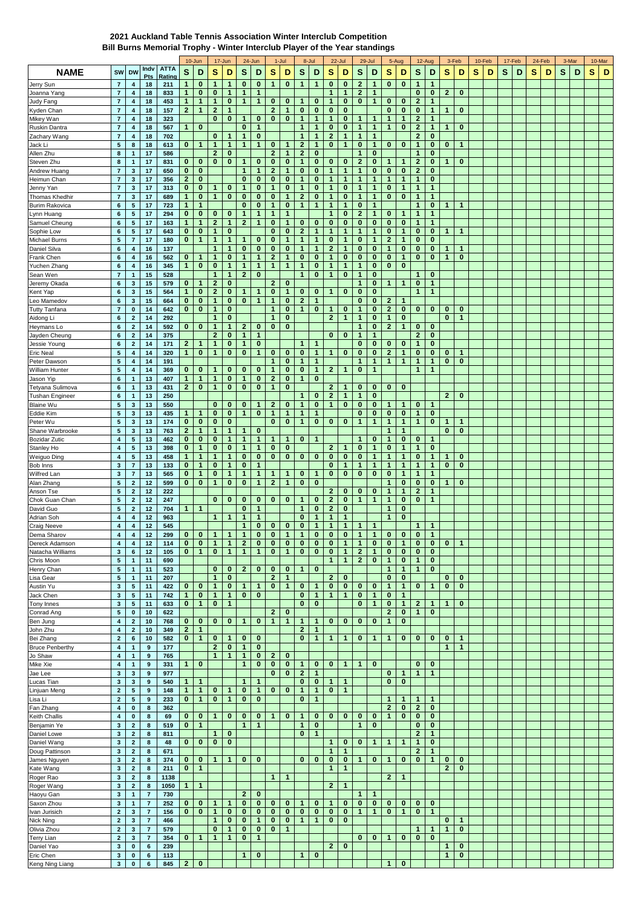## **2021 Auckland Table Tennis Association Winter Interclub Competition**

**Bill Burns Memorial Trophy - Winter Interclub Player of the Year standings**

|                                    |                                             |                              |                                  |                       |                              | 10-Jun                       |                          | 17-Jun                      |                          | 24-Jun                        |                   | 1-Jul                        |                              | 8-Jul                       |                           | 22-Jul                               |                                  | 29-Jul                   |                              | 5-Aug                      |                                | 12-Aug                       | 3-Feb             |                             |   | 10-Feb |   | 17-Feb |   | 24-Feb | 3-Mar |   |   | 10-Mar |
|------------------------------------|---------------------------------------------|------------------------------|----------------------------------|-----------------------|------------------------------|------------------------------|--------------------------|-----------------------------|--------------------------|-------------------------------|-------------------|------------------------------|------------------------------|-----------------------------|---------------------------|--------------------------------------|----------------------------------|--------------------------|------------------------------|----------------------------|--------------------------------|------------------------------|-------------------|-----------------------------|---|--------|---|--------|---|--------|-------|---|---|--------|
| <b>NAME</b>                        | SW                                          | <b>DW</b>                    | Indv<br>Pts                      | <b>ATTA</b><br>Rating | S                            | D                            | s                        | D                           | S                        | D                             | s                 | D                            | S                            | D                           | s                         | D                                    | S                                | D                        | s                            | D                          | S                              | D                            | S                 | D                           | s | D      | s | D      | s | D      | S     | D | S | D      |
| Jerry Sun                          | $\overline{7}$                              | 4                            | 18                               | 211                   | 1                            | 0                            | 1                        | 1                           | 0                        | 0                             | $\mathbf{1}$      | 0                            | 1                            | 1                           | $\bf{0}$                  | $\bf{0}$                             | $\mathbf{2}$                     | 1                        | 0                            | 0                          | 1                              | 1                            |                   |                             |   |        |   |        |   |        |       |   |   |        |
| Joanna Yang                        | $\overline{7}$                              | $\boldsymbol{4}$             | 18                               | 833                   | $\mathbf{1}$                 | 0                            | $\bf{0}$                 | 1                           | $\overline{1}$           | $\mathbf{1}$                  |                   |                              |                              |                             | $\mathbf{1}$              | $\mathbf{1}$                         | $\mathbf{2}$                     | 1                        |                              |                            | $\bf{0}$                       | $\bf{0}$                     | $\mathbf{2}$      | $\bf{0}$                    |   |        |   |        |   |        |       |   |   |        |
| Judy Fang                          | $\overline{7}$                              | $\boldsymbol{4}$             | 18                               | 453                   | $\mathbf{1}$                 | 1                            | $\mathbf{1}$             | $\bf{0}$                    | 1                        | $\mathbf{1}$                  | 0                 | $\bf{0}$                     | 1                            | $\bf{0}$                    | -1                        | $\bf{0}$                             | $\bf{0}$                         | $\mathbf{1}$             | 0                            | 0                          | $\overline{2}$                 | 1                            |                   |                             |   |        |   |        |   |        |       |   |   |        |
| Kyden Chan                         | $\overline{\mathbf{7}}$                     | 4                            | 18                               | 157                   | $\mathbf{2}$                 | 1                            | $\mathbf{2}$             | 1                           |                          |                               | $\mathbf{2}$      | 1                            | 0                            | $\bf{0}$                    | $\bf{0}$                  | $\bf{0}$                             |                                  |                          | 0                            | $\bf{0}$                   | $\bf{0}$                       | 1                            | 1                 | $\bf{0}$                    |   |        |   |        |   |        |       |   |   |        |
| Mikey Wan                          | $\overline{7}$                              | $\boldsymbol{4}$             | 18                               | 323                   |                              |                              | $\bf{0}$                 | $\bf{0}$                    | 1                        | $\bf{0}$                      | 0                 | $\bf{0}$                     | 1                            | $\mathbf{1}$                | $\mathbf{1}$              | $\bf{0}$                             | 1                                | 1                        | 1                            | $\mathbf{1}$               | $\mathbf{2}$                   | 1                            |                   |                             |   |        |   |        |   |        |       |   |   |        |
| Ruskin Dantra                      | $\overline{7}$                              | $\boldsymbol{4}$             | 18                               | 567                   | 1                            | $\bf{0}$                     |                          |                             | $\bf{0}$                 | $\mathbf{1}$                  |                   |                              | 1                            | 1                           | $\bf{0}$                  | $\bf{0}$                             | $\mathbf{1}$                     | $\mathbf{1}$             | 1                            | $\bf{0}$                   | $\overline{2}$                 | 1                            | 1                 | 0                           |   |        |   |        |   |        |       |   |   |        |
| Zachary Wang                       | $\overline{7}$                              | 4                            | 18                               | 702                   |                              |                              | $\bf{0}$                 | 1                           | 1                        | $\mathbf 0$                   |                   |                              | 1                            | 1                           | $\mathbf{2}$              | 1                                    | $\mathbf{1}$                     | 1                        |                              |                            | 2                              | $\bf{0}$                     |                   |                             |   |        |   |        |   |        |       |   |   |        |
| Jack Li                            | 5                                           | 8                            | 18                               | 613                   | 0                            | 1                            | $\mathbf{1}$             | 1                           | $\mathbf{1}$             | $\mathbf{1}$                  | 0                 | $\mathbf{1}$                 | $\mathbf{2}$                 | $\mathbf{1}$                | $\bf{0}$                  | $\mathbf{1}$                         | 0                                | $\mathbf{1}$             | 0                            | $\bf{0}$                   | 1                              | $\bf{0}$                     | $\bf{0}$          | $\mathbf{1}$                |   |        |   |        |   |        |       |   |   |        |
| Allen Zhu                          | $\bf8$                                      | 1                            | 17                               | 586                   |                              |                              | $\mathbf{2}$             | $\bf{0}$                    |                          |                               | $\mathbf{2}$      | $\mathbf{1}$                 | $\mathbf{2}$                 | $\bf{0}$                    |                           |                                      | $\mathbf{1}$                     | $\mathbf 0$              |                              |                            | 1                              | $\bf{0}$                     |                   |                             |   |        |   |        |   |        |       |   |   |        |
| Steven Zhu                         | 8<br>$\overline{7}$                         | 1                            | 17<br>17                         | 831                   | 0                            | 0                            | $\bf{0}$                 | $\bf{0}$                    | 1<br>$\mathbf{1}$        | $\bf{0}$<br>$\mathbf{1}$      | 0<br>$\mathbf{2}$ | 0<br>$\mathbf{1}$            | 1<br>0                       | 0<br>$\mathbf{0}$           | $\bf{0}$<br>$\mathbf{1}$  | $\bf{0}$<br>$\overline{1}$           | $\mathbf{2}$<br>$\mathbf{1}$     | 0                        | 1<br>0                       | $\bf{0}$                   | $\mathbf{2}$<br>$\overline{2}$ | 0<br>$\mathbf 0$             | 1                 | $\bf{0}$                    |   |        |   |        |   |        |       |   |   |        |
| Andrew Huang<br>Heimun Chan        | $\overline{7}$                              | $\mathbf 3$<br>$\mathbf{3}$  | 17                               | 650<br>356            | 0<br>2                       | 0<br>0                       |                          |                             | $\bf{0}$                 | $\mathbf 0$                   | 0                 | 0                            | 1                            | 0                           | 1                         | 1                                    | $\mathbf{1}$                     | $\bf{0}$<br>$\mathbf{1}$ | 1                            | $\mathbf{1}$               | 1                              | $\bf{0}$                     |                   |                             |   |        |   |        |   |        |       |   |   |        |
| Jenny Yan                          | $\overline{7}$                              | $\mathbf{3}$                 | 17                               | 313                   | 0                            | 0                            | 1                        | $\bf{0}$                    | 1                        | $\bf{0}$                      | 1                 | $\bf{0}$                     | 1                            | 0                           | 1                         | $\bf{0}$                             | $\mathbf{1}$                     | 1                        | 0                            | $\mathbf{1}$               | 1                              | 1                            |                   |                             |   |        |   |        |   |        |       |   |   |        |
| Thomas Khedhir                     | $\overline{7}$                              | $\mathbf{3}$                 | 17                               | 689                   | $\mathbf{1}$                 | 0                            | $\mathbf{1}$             | $\bf{0}$                    | $\bf{0}$                 | $\bf{0}$                      | 0                 | $\mathbf{1}$                 | $\mathbf 2$                  | $\bf{0}$                    | $\mathbf{1}$              | $\bf{0}$                             | $\mathbf{1}$                     | $\mathbf{1}$             | 0                            | $\bf{0}$                   | $\mathbf{1}$                   | $\mathbf{1}$                 |                   |                             |   |        |   |        |   |        |       |   |   |        |
| <b>Burim Rakovica</b>              | $\bf 6$                                     | 5                            | 17                               | 723                   | 1                            | 1                            |                          |                             | $\bf{0}$                 | $\mathbf 0$                   | 1                 | 0                            | 1                            | 1                           | 1                         | 1                                    | 0                                | $\mathbf{1}$             |                              |                            | 1                              | 0                            | 1                 | $\mathbf{1}$                |   |        |   |        |   |        |       |   |   |        |
| Lynn Huang                         | $\bf 6$                                     | 5                            | 17                               | 294                   | 0                            | 0                            | $\bf{0}$                 | $\bf{0}$                    | 1                        | $\mathbf{1}$                  | 1                 | $\mathbf{1}$                 |                              |                             | $\mathbf{1}$              | $\bf{0}$                             | $\mathbf{2}$                     | $\mathbf{1}$             | 0                            | 1                          | 1                              | 1                            |                   |                             |   |        |   |        |   |        |       |   |   |        |
| Samuel Cheung                      | 6                                           | ${\bf 5}$                    | 17                               | 163                   | $\mathbf{1}$                 | $\mathbf{1}$                 | $\mathbf{2}$             | $\mathbf{1}$                | $\mathbf{2}$             | $\mathbf{1}$                  | 0                 | $\mathbf{1}$                 | 0                            | $\bf{0}$                    | $\bf{0}$                  | $\bf{0}$                             | 0                                | $\bf{0}$                 | 0                            | $\bf{0}$                   | $\mathbf{1}$                   | $\mathbf{1}$                 |                   |                             |   |        |   |        |   |        |       |   |   |        |
| Sophie Low                         | $\bf 6$                                     | ${\bf 5}$                    | 17                               | 643                   | 0                            | $\bf{0}$                     | $\mathbf{1}$             | $\mathbf 0$                 |                          |                               | $\bf{0}$          | $\bf{0}$                     | $\mathbf{2}$                 | 1                           | $\mathbf{1}$              | 1                                    | $\mathbf{1}$                     | $\mathbf{1}$             | $\bf{0}$                     | $\mathbf{1}$               | $\bf{0}$                       | $\bf{0}$                     | 1                 | $\mathbf{1}$                |   |        |   |        |   |        |       |   |   |        |
| Michael Burns                      | ${\bf 5}$                                   | $\overline{7}$               | 17                               | 180                   | 0                            | 1                            | $\mathbf{1}$             | $\mathbf{1}$                | 1                        | $\mathbf 0$                   | 0                 | $\mathbf{1}$                 | 1                            | 1                           | $\bf{0}$                  | 1                                    | 0                                | $\mathbf{1}$             | $\mathbf{2}$                 | $\mathbf{1}$               | $\bf{0}$                       | $\bf{0}$                     |                   |                             |   |        |   |        |   |        |       |   |   |        |
| Daniel Silva                       | 6                                           | $\overline{\mathbf{4}}$      | 16                               | 137                   |                              |                              | 1                        | $\mathbf{1}$                | $\bf{0}$                 | $\bf{0}$                      | 0                 | $\bf{0}$                     | 1                            | $\mathbf{1}$                | $\mathbf{2}$              | 1                                    | 0                                | $\bf{0}$                 | 1                            | $\bf{0}$                   | $\bf{0}$                       | $\bf{0}$                     | 1                 | $\mathbf 1$                 |   |        |   |        |   |        |       |   |   |        |
| Frank Chen                         | $\bf 6$                                     | 4                            | 16                               | 562                   | 0                            | 1                            | 1                        | 0                           | 1                        | 1                             | $\mathbf{2}$      | $\mathbf{1}$                 | 0                            | 0                           | 1                         | 0                                    | 0                                | $\mathbf 0$              | 0                            | $\mathbf{1}$               | $\bf{0}$                       | $\bf{0}$                     | 1                 | $\bf{0}$                    |   |        |   |        |   |        |       |   |   |        |
| Yuchen Zhang                       | $\bf 6$                                     | $\overline{\mathbf{4}}$      | 16                               | 345                   | $\mathbf{1}$                 | $\bf{0}$                     | $\bf{0}$                 | $\mathbf{1}$                | 1                        | $\mathbf{1}$                  | $\mathbf{1}$      | $\mathbf{1}$                 | 1                            | $\bf{0}$                    | $\mathbf{1}$              | 1                                    | $\mathbf{1}$                     | $\bf{0}$                 | $\bf{0}$                     | 0                          |                                |                              |                   |                             |   |        |   |        |   |        |       |   |   |        |
| Sean Wen                           | $\overline{7}$                              | $\mathbf{1}$                 | 15                               | 528                   |                              |                              | 1                        | 1                           | $\mathbf{2}$             | $\bf{0}$                      |                   |                              | $\mathbf{1}$                 | $\bf{0}$                    | -1                        | $\bf{0}$                             | $\mathbf{1}$                     | $\bf{0}$                 |                              |                            | 1                              | $\bf{0}$                     |                   |                             |   |        |   |        |   |        |       |   |   |        |
| Jeremy Okada                       | $\bf 6$                                     | 3                            | 15                               | 579                   | 0                            | 1                            | $\mathbf{2}$             | $\bf{0}$                    |                          |                               | $\overline{2}$    | $\bf{0}$                     |                              |                             |                           |                                      | 1                                | $\mathbf 0$              | 1                            | $\mathbf{1}$               | $\bf{0}$                       | 1                            |                   |                             |   |        |   |        |   |        |       |   |   |        |
| Kent Yap                           | $\,$ 6                                      | $\mathbf{3}$                 | 15                               | 564                   | $\mathbf{1}$                 | 0                            | $\mathbf{2}$             | $\bf{0}$                    | 1                        | $\mathbf{1}$                  | 0                 | $\mathbf{1}$                 | 0                            | $\bf{0}$                    | 1                         | $\bf{0}$                             | $\bf{0}$                         | $\mathbf 0$              |                              |                            | $\mathbf{1}$                   | 1                            |                   |                             |   |        |   |        |   |        |       |   |   |        |
| Leo Mamedov                        | 6<br>$\overline{7}$                         | 3                            | 15                               | 664                   | 0<br>0                       | 0<br>$\bf{0}$                | $\mathbf{1}$<br>1        | 0<br>$\bf{0}$               | $\bf{0}$                 | $\mathbf{1}$                  | 1<br>$\mathbf{1}$ | $\bf{0}$<br>$\bf{0}$         | $\mathbf{2}$<br>1            | $\mathbf{1}$<br>0           | 1                         | 0                                    | 0<br>1                           | $\bf{0}$<br>0            | $\mathbf{2}$<br>$\mathbf{2}$ | $\mathbf{1}$<br>$\bf{0}$   | $\bf{0}$                       | $\bf{0}$                     |                   | $\mathbf 0$                 |   |        |   |        |   |        |       |   |   |        |
| <b>Tutty Tanfana</b><br>Aidong Li  | $\,$ 6                                      | 0<br>$\mathbf 2$             | 14<br>14                         | 642<br>292            |                              |                              | 1                        | 0                           |                          |                               | 1                 | 0                            |                              |                             | $\overline{2}$            | $\mathbf{1}$                         | $\mathbf{1}$                     | $\bf{0}$                 | 1                            | 0                          |                                |                              | 0<br>$\bf{0}$     | $\mathbf 1$                 |   |        |   |        |   |        |       |   |   |        |
| Heymans Lo                         | 6                                           | $\mathbf 2$                  | 14                               | 592                   | 0                            | 0                            | 1                        | 1                           | $\mathbf{2}$             | $\mathbf 0$                   | 0                 | $\bf{0}$                     |                              |                             |                           |                                      | $\mathbf{1}$                     | $\bf{0}$                 | $\mathbf{2}$                 | $\mathbf{1}$               | $\bf{0}$                       | $\bf{0}$                     |                   |                             |   |        |   |        |   |        |       |   |   |        |
| Jayden Cheung                      | 6                                           | $\mathbf 2$                  | 14                               | 375                   |                              |                              | $\mathbf{2}$             | 0                           | 1                        | $\mathbf{1}$                  |                   |                              |                              |                             | $\bf{0}$                  | 0                                    | 1                                | $\mathbf{1}$             |                              |                            | $\mathbf{2}$                   | 0                            |                   |                             |   |        |   |        |   |        |       |   |   |        |
| Jessie Young                       | $\bf 6$                                     | $\mathbf 2$                  | 14                               | 171                   | 2                            | 1                            | $\mathbf{1}$             | $\bf{0}$                    | 1                        | $\bf{0}$                      |                   |                              | 1                            | 1                           |                           |                                      | 0                                | $\bf{0}$                 | 0                            | 0                          | $\mathbf{1}$                   | $\bf{0}$                     |                   |                             |   |        |   |        |   |        |       |   |   |        |
| <b>Eric Neal</b>                   | 5                                           | 4                            | 14                               | 320                   | $\mathbf{1}$                 | 0                            | $\mathbf{1}$             | 0                           | $\bf{0}$                 | $\mathbf{1}$                  | 0                 | $\bf{0}$                     | 0                            | $\mathbf{1}$                | 1                         | $\bf{0}$                             | 0                                | $\bf{0}$                 | $\mathbf{2}$                 | $\mathbf{1}$               | $\bf{0}$                       | $\bf{0}$                     | 0                 | 1                           |   |        |   |        |   |        |       |   |   |        |
| Peter Dawson                       | ${\bf 5}$                                   | $\overline{\mathbf{4}}$      | 14                               | 191                   |                              |                              |                          |                             |                          |                               | $\mathbf{1}$      | $\bf{0}$                     | 1                            | 1                           |                           |                                      | $\mathbf{1}$                     | $\mathbf{1}$             | 1                            | $\overline{1}$             | 1                              | 1                            | 0                 | $\bf{0}$                    |   |        |   |        |   |        |       |   |   |        |
| William Hunter                     | ${\bf 5}$                                   | $\overline{\mathbf{4}}$      | 14                               | 369                   | 0                            | 0                            | 1                        | $\bf{0}$                    | 0                        | $\bf{0}$                      | 1                 | $\bf{0}$                     | 0                            | 1                           | $\mathbf{2}$              | 1                                    | 0                                | 1                        |                              |                            | 1                              | 1                            |                   |                             |   |        |   |        |   |        |       |   |   |        |
| Jason Yip                          | 6                                           | $\mathbf{1}$                 | 13                               | 407                   | 1                            | 1                            | $\mathbf{1}$             | $\bf{0}$                    | $\mathbf{1}$             | $\bf{0}$                      | $\mathbf{2}$      | $\bf{0}$                     | 1                            | $\bf{0}$                    |                           |                                      |                                  |                          |                              |                            |                                |                              |                   |                             |   |        |   |        |   |        |       |   |   |        |
| Tetyana Sulimova                   | 6                                           | $\mathbf{1}$                 | 13                               | 431                   | $\mathbf{2}$                 | 0                            | $\mathbf{1}$             | 0                           | 0                        | $\bf{0}$                      | $\mathbf{1}$      | $\bf{0}$                     |                              |                             | $\mathbf{2}$              | 1                                    | 0                                | $\mathbf 0$              | 0                            | 0                          |                                |                              |                   |                             |   |        |   |        |   |        |       |   |   |        |
| <b>Tushan Engineer</b>             | $\bf 6$                                     | $\overline{1}$               | 13                               | 250                   |                              |                              |                          |                             |                          |                               |                   |                              | 1                            | 0                           | $\mathbf{2}$              | 1                                    | $\mathbf{1}$                     | $\bf{0}$                 |                              |                            |                                |                              | $\mathbf{2}$      | $\mathbf 0$                 |   |        |   |        |   |        |       |   |   |        |
| <b>Blaine Wu</b>                   | $5\phantom{.0}$                             | $\mathbf{3}$                 | 13                               | 550                   |                              |                              | 0                        | 0                           | $\bf{0}$                 | $\mathbf{1}$                  | $\mathbf{2}$      | $\bf{0}$                     | 1                            | 0                           | 1                         | 0                                    | 0                                | $\bf{0}$                 | 1                            | $\mathbf{1}$               | $\bf{0}$                       | $\mathbf{1}$                 |                   |                             |   |        |   |        |   |        |       |   |   |        |
| Eddie Kim                          | 5                                           | $\mathbf{3}$                 | 13                               | 435                   | 1                            | 1                            | 0                        | 0                           | 1                        | 0                             | 1                 | $\mathbf{1}$                 | 1                            | 1                           |                           |                                      | 0                                | $\mathbf 0$              | 0                            | 0                          | 1                              | 0                            |                   |                             |   |        |   |        |   |        |       |   |   |        |
| Peter Wu                           | $5\phantom{1}$                              | $\mathbf 3$                  | 13                               | 174                   | $\mathbf{0}$                 | $\bf{0}$                     | $\bf{0}$                 | $\bf{0}$                    |                          |                               | 0                 | $\bf{0}$                     | 1                            | $\bf{0}$                    | $\bf{0}$                  | $\bf{0}$                             | $\mathbf{1}$                     | $\mathbf{1}$             | 1                            | $\mathbf{1}$               | 1                              | $\bf{0}$                     | 1                 | $\mathbf{1}$                |   |        |   |        |   |        |       |   |   |        |
| Shane Warbrooke                    | ${\bf 5}$                                   | $\mathbf{3}$                 | 13                               | 763                   | $\mathbf{2}$<br>0            | 1                            | $\mathbf{1}$<br>$\bf{0}$ | 1<br>1                      | 1<br>1                   | $\mathbf 0$<br>$\overline{1}$ | $\mathbf 1$       | 1                            | 0                            | 1                           |                           |                                      | $\mathbf{1}$                     | $\bf{0}$                 | 1<br>1                       | $\mathbf{1}$<br>$\bf{0}$   | $\bf{0}$                       |                              | 0                 | $\bf{0}$                    |   |        |   |        |   |        |       |   |   |        |
| <b>Bozidar Zutic</b><br>Stanley Ho | $\overline{\mathbf{4}}$<br>$\boldsymbol{4}$ | ${\bf 5}$<br>${\bf 5}$       | 13<br>13                         | 462<br>398            | 0                            | 0<br>1                       | $\bf{0}$                 | $\bf{0}$                    | 1                        | $\mathbf{1}$                  | 0                 | $\bf{0}$                     |                              |                             | $\mathbf{2}$              | 1                                    | $\bf{0}$                         | $\mathbf{1}$             | $\bf{0}$                     | $\mathbf{1}$               | 1                              | -1<br>$\bf{0}$               |                   |                             |   |        |   |        |   |        |       |   |   |        |
| Weiguo Ding                        | $\overline{\mathbf{4}}$                     | ${\bf 5}$                    | 13                               | 458                   | $\mathbf{1}$                 | 1                            | $\mathbf 1$              | 1                           | $\bf{0}$                 | $\bf{0}$                      | $\bf{0}$          | $\pmb{0}$                    | $\bf{0}$                     | $\bf{0}$                    | $\bf{0}$                  | $\bf{0}$                             | 0                                | $\mathbf{1}$             | 1                            | $\mathbf{1}$               | $\bf{0}$                       | $\mathbf{1}$                 | $\mathbf{1}$      | $\bf{0}$                    |   |        |   |        |   |        |       |   |   |        |
| Bob Inns                           | 3                                           | $\overline{7}$               | 13                               | 133                   | 0                            | 1                            | 0                        | 1                           | 0                        | $\mathbf 1$                   |                   |                              |                              |                             | $\bf{0}$                  | 1                                    | $\mathbf{1}$                     | 1                        | 1                            | $\mathbf{1}$               | 1                              | 1                            | 0                 | $\mathbf{0}$                |   |        |   |        |   |        |       |   |   |        |
| Wilfred Lan                        | $\mathbf{3}$                                | $\overline{7}$               | 13                               | 565                   | 0                            | $\mathbf{1}$                 | $\bf{0}$                 | 1                           | $\overline{1}$           | $\mathbf{1}$                  | 1                 | 1                            | 0                            | 1                           | $\bf{0}$                  | $\bf{0}$                             | $\bf{0}$                         | $\bf{0}$                 | 0                            | $\mathbf{1}$               | 1                              | 1                            |                   |                             |   |        |   |        |   |        |       |   |   |        |
| Alan Zhang                         | ${\bf 5}$                                   | $\mathbf 2$                  | 12                               | 599                   | 0                            | $\bf{0}$                     | $\mathbf{1}$             | $\bf{0}$                    | $\bf{0}$                 | $\mathbf{1}$                  | $\mathbf{2}$      | $\mathbf{1}$                 | $\bf{0}$                     | $\bf{0}$                    |                           |                                      |                                  |                          | 1                            | $\bf{0}$                   | $\bf{0}$                       | $\bf{0}$                     | $\mathbf 1$       | $\mathbf 0$                 |   |        |   |        |   |        |       |   |   |        |
| Anson Tse                          | 5                                           | $\mathbf 2$                  | 12                               | 222                   |                              |                              |                          |                             |                          |                               |                   |                              |                              |                             | $\mathbf{2}$              | $\bf{0}$                             | 0                                | $\bf{0}$                 | 1                            | $\mathbf{1}$               | $\mathbf{2}$                   | 1                            |                   |                             |   |        |   |        |   |        |       |   |   |        |
| Chok Guan Chan                     | 5                                           | $\mathbf 2$                  | 12                               | 247                   |                              |                              | 0                        | 0                           | $\bf{0}$                 | $\bf{0}$                      | 0                 | $\bf{0}$                     | 1                            | $\bf{0}$                    | $\overline{2}$            | $\bf{0}$                             | $\mathbf{1}$                     | $\mathbf{1}$             | $\mathbf{1}$                 | $\bf{0}$                   | $\bf{0}$                       | 1                            |                   |                             |   |        |   |        |   |        |       |   |   |        |
| David Guo                          | $5\phantom{1}$                              | $\mathbf 2$                  | 12                               | 704                   | 1                            | 1                            |                          |                             | $\bf{0}$                 | $\mathbf{1}$                  |                   |                              | 1                            | $\bf{0}$                    | $\overline{2}$            | $\bf{0}$                             |                                  |                          | 1                            | 0                          |                                |                              |                   |                             |   |        |   |        |   |        |       |   |   |        |
| Adrian Soh                         | $\boldsymbol{4}$                            | 4                            | 12                               | 963                   |                              |                              | 1                        | 1                           | 1                        | -1                            |                   |                              | 0                            | 1                           |                           | 1                                    |                                  |                          | 1                            | 0                          |                                |                              |                   |                             |   |        |   |        |   |        |       |   |   |        |
| <b>Craig Neeve</b>                 | 4                                           | 4                            | 12                               | 545                   |                              |                              |                          |                             | 1                        | $\bf{0}$                      | 0                 | 0                            | 0                            | 1                           | 1                         | 1                                    | 1                                | 1                        |                              |                            | 1                              | 1                            |                   |                             |   |        |   |        |   |        |       |   |   |        |
| Dema Sharov                        | 4                                           | 4                            | 12                               | 299                   | 0                            | 0                            | -1                       | $\mathbf{1}$                | 1                        | $\bf{0}$                      | 0                 | 1                            | 1                            | $\bf{0}$                    | $\bf{0}$                  | 0                                    | 1                                | $\mathbf{1}$             | 0                            | 0                          | $\bf{0}$                       | $\mathbf{1}$                 |                   |                             |   |        |   |        |   |        |       |   |   |        |
| Dereck Adamson                     | 4                                           | 4                            | 12                               | 114                   | $\mathbf{U}$                 | U                            | $\mathbf{1}$             | -1                          | 21                       | $\mathbf{U}$                  |                   | 0 0 1                        | U                            | U                           | $\mathbf{U}$              | $\mathbf{1}$                         | $\mathbf{1}$                     | $\mathbf{U}$             | U                            | -1                         |                                | $01$ 0                       | $\mathbf{U}$      | $\mathbf{1}$                |   |        |   |        |   |        |       |   |   |        |
| Natacha Williams                   | $\mathbf{3}$<br>$\sqrt{5}$                  | 6 <sup>1</sup>               | 12                               | 105                   | 0                            | 1                            | $\bf{0}$                 | $\mathbf{1}$                | $\mathbf{1}$             | $\mathbf{1}$                  | $\mathbf 0$       | $\mathbf{1}$                 | $\mathbf{0}$                 | $\pmb{0}$                   | $\pmb{0}$<br>$\mathbf{1}$ | $\mathbf{1}$<br>$\mathbf{1}$         | $\overline{2}$<br>$\overline{2}$ | 1<br>$\mathbf{0}$        | $\mathbf{0}$<br>$\mathbf{1}$ | $\mathbf 0$<br>$\mathbf 0$ | $\mathbf{0}$<br>$\mathbf{1}$   | $\mathbf{0}$<br>$\mathbf{0}$ |                   |                             |   |        |   |        |   |        |       |   |   |        |
| Chris Moon<br>Henry Chan           | $\sqrt{5}$                                  | $\mathbf{1}$<br>$\mathbf{1}$ | 11<br>11                         | 690<br>523            |                              |                              | 0                        | $\bf{0}$                    | $\mathbf{2}$             | $\bf{0}$                      | 0                 | $\bf{0}$                     | $\mathbf{1}$                 | $\bf{0}$                    |                           |                                      |                                  |                          | 1                            | $\mathbf{1}$               | $\mathbf{1}$                   | $\mathbf 0$                  |                   |                             |   |        |   |        |   |        |       |   |   |        |
| Lisa Gear                          | $\overline{\mathbf{5}}$                     | $\mathbf{1}$                 | 11                               | 207                   |                              |                              | $\mathbf{1}$             | $\mathbf{0}$                |                          |                               | $\mathbf{2}$      | $\mathbf{1}$                 |                              |                             | $\overline{2}$            | $\mathbf 0$                          |                                  |                          | $\mathbf{0}$                 | $\bf{0}$                   |                                |                              | $\bf{0}$          | $\bf{0}$                    |   |        |   |        |   |        |       |   |   |        |
| Austin Yu                          | $\mathbf{3}$                                | 5                            | 11                               | 422                   | $\mathbf{0}$                 | $\bf{0}$                     | $\mathbf{1}$             | $\bf{0}$                    | $\mathbf{1}$             | $\overline{1}$                | $\mathbf 0$       | $\mathbf{1}$                 | $\bf{0}$                     | $\mathbf{1}$                | $\mathbf 0$               | $\mathbf 0$                          | $\mathbf 0$                      | $\mathbf 0$              | $\mathbf{1}$                 | $\mathbf{1}$               | $\mathbf{0}$                   | $\overline{1}$               | $\bf{0}$          | $\bf{0}$                    |   |        |   |        |   |        |       |   |   |        |
| Jack Chen                          | $\mathbf 3$                                 | 5                            | 11                               | 742                   | $\mathbf{1}$                 | $\mathbf 0$                  | $\mathbf{1}$             | $\mathbf{1}$                | $\mathbf{0}$             | $\mathbf 0$                   |                   |                              | 0                            | $\mathbf{1}$                | $\mathbf{1}$              | $\mathbf{1}$                         | $\bf{0}$                         | $\mathbf{1}$             | $\mathbf 0$                  | $\mathbf{1}$               |                                |                              |                   |                             |   |        |   |        |   |        |       |   |   |        |
| Tony Innes                         | $\mathbf{3}$                                | $5\phantom{.0}$              | 11                               | 633                   | $\mathbf{0}$                 | $\mathbf{1}$                 | $\mathbf{0}$             | $\mathbf{1}$                |                          |                               |                   |                              | $\mathbf{0}$                 | $\mathbf{0}$                |                           |                                      | 0                                | $\mathbf{1}$             | $\mathbf{0}$                 | 1                          | $\overline{2}$                 | $\overline{1}$               | $\mathbf{1}$      | $\bf{0}$                    |   |        |   |        |   |        |       |   |   |        |
| Conrad Ang                         | $\sqrt{5}$                                  | $\pmb{0}$                    | 10                               | 622                   |                              |                              |                          |                             |                          |                               | $\overline{2}$    | $\bf{0}$                     |                              |                             |                           |                                      |                                  |                          | $\overline{2}$               | $\mathbf{0}$               | $\mathbf{1}$                   | $\bf{0}$                     |                   |                             |   |        |   |        |   |        |       |   |   |        |
| Ben Jung                           | $\pmb{4}$                                   | $\mathbf 2$                  | 10                               | 768                   | $\mathbf{0}$                 | $\mathbf{0}$                 | $\mathbf{0}$             | $\bf{0}$                    | $\mathbf{1}$             | $\mathbf 0$                   | $\mathbf{1}$      | $\mathbf{1}$                 | $\mathbf{1}$                 | $\mathbf{1}$                | $\mathbf{0}$              | $\mathbf 0$                          | $\mathbf 0$                      | $\mathbf 0$              | $\mathbf{1}$                 | $\mathbf 0$                |                                |                              |                   |                             |   |        |   |        |   |        |       |   |   |        |
| John Zhu                           | $\boldsymbol{4}$                            | $\mathbf{2}$                 | 10                               | 349                   | $\mathbf{2}$                 | $\mathbf{1}$                 |                          |                             |                          |                               |                   |                              | $\mathbf{2}$                 | $\mathbf{1}$                |                           |                                      |                                  |                          |                              |                            |                                |                              |                   |                             |   |        |   |        |   |        |       |   |   |        |
| Bei Zhang                          | $\mathbf 2$                                 | 6                            | 10                               | 582                   | $\mathbf{0}$                 | $\mathbf{1}$                 | $\bf{0}$                 | $\mathbf{1}$                | $\bf{0}$                 | $\mathbf 0$                   |                   |                              | $\mathbf{0}$                 | $\mathbf{1}$                | $\mathbf{1}$              | $\overline{1}$                       | $\bf{0}$                         | $\mathbf{1}$             | $\overline{1}$               | $\mathbf{0}$               | $\mathbf{0}$                   | $\mathbf 0$                  | $\bf{0}$          | $\mathbf{1}$                |   |        |   |        |   |        |       |   |   |        |
| <b>Bruce Penberthy</b>             | 4                                           | $\mathbf{1}$                 | 9                                | 177                   |                              |                              | $\mathbf{2}$             | $\bf{0}$                    | $\mathbf{1}$             | $\mathbf 0$                   |                   |                              |                              |                             |                           |                                      |                                  |                          |                              |                            |                                |                              | $\mathbf{1}$      | $\mathbf{1}$                |   |        |   |        |   |        |       |   |   |        |
| Jo Shaw                            | $\overline{\mathbf{4}}$                     | $\mathbf{1}$                 | 9                                | 765                   |                              |                              | $\mathbf{1}$             | $\mathbf{1}$                | $\mathbf{1}$             | $\mathbf 0$                   | $\mathbf{2}$      | $\mathbf 0$                  |                              |                             |                           |                                      |                                  |                          |                              |                            |                                |                              |                   |                             |   |        |   |        |   |        |       |   |   |        |
| Mike Xie                           | $\overline{\mathbf{4}}$                     | $\mathbf{1}$                 | 9                                | 331                   | $\mathbf{1}$                 | $\bf{0}$                     |                          |                             | $\mathbf{1}$             | $\mathbf 0$                   | $\bf{0}$          | $\bf{0}$                     | $\mathbf{1}$                 | 0                           | $\mathbf{0}$              | $\mathbf{1}$                         | $\mathbf{1}$                     | $\bf{0}$                 |                              |                            | $\bf{0}$                       | $\mathbf 0$                  |                   |                             |   |        |   |        |   |        |       |   |   |        |
| Jae Lee                            | $\mathbf{3}$                                | $\mathbf{3}$                 | 9                                | 977                   |                              |                              |                          |                             |                          |                               | $\mathbf{0}$      | $\bf{0}$                     | $\mathbf{2}$                 | $\mathbf{1}$                |                           |                                      |                                  |                          | 0<br>$\mathbf{0}$            | $\mathbf{1}$               | $\mathbf{1}$                   | $\mathbf{1}$                 |                   |                             |   |        |   |        |   |        |       |   |   |        |
| Lucas Tian<br>Linjuan Meng         | $\mathbf{3}$<br>$\mathbf 2$                 | $\mathbf{3}$<br>${\bf 5}$    | 9<br>9                           | 540<br>148            | $\mathbf{1}$<br>$\mathbf{1}$ | $\mathbf{1}$<br>$\mathbf{1}$ | $\bf{0}$                 | $\mathbf{1}$                | $\mathbf{1}$<br>$\bf{0}$ | $\mathbf{1}$<br>$\mathbf{1}$  | $\mathbf{0}$      | $\bf{0}$                     | $\mathbf{0}$<br>$\mathbf{1}$ | $\mathbf 0$<br>$\mathbf{1}$ | $\mathbf{1}$<br>$\bf{0}$  | $\mathbf{1}$<br>$\blacktriangleleft$ |                                  |                          |                              | $\mathbf 0$                |                                |                              |                   |                             |   |        |   |        |   |        |       |   |   |        |
| Lisa Li                            | $\overline{2}$                              | 5                            | 9                                | 233                   | $\mathbf{0}$                 | $\mathbf{1}$                 | $\mathbf{0}$             | $\mathbf{1}$                | $\mathbf{0}$             | $\mathbf 0$                   |                   |                              | $\mathbf 0$                  | $\mathbf{1}$                |                           |                                      |                                  |                          | 1                            | $\mathbf{1}$               | $\mathbf{1}$                   | $\overline{1}$               |                   |                             |   |        |   |        |   |        |       |   |   |        |
| Fan Zhang                          | $\overline{\mathbf{4}}$                     | $\pmb{0}$                    | 8                                | 362                   |                              |                              |                          |                             |                          |                               |                   |                              |                              |                             |                           |                                      |                                  |                          | $\mathbf{2}$                 | $\mathbf{0}$               | $\mathbf{2}$                   | $\mathbf 0$                  |                   |                             |   |        |   |        |   |        |       |   |   |        |
| Keith Challis                      | 4                                           | 0                            | 8                                | 69                    | 0                            | $\mathbf{0}$                 | $\mathbf{1}$             | $\mathbf 0$                 | $\bf{0}$                 | 0                             | $\mathbf{1}$      | $\mathbf 0$                  | $\mathbf{1}$                 | 0                           | $\bf{0}$                  | $\mathbf 0$                          | 0                                | $\bf{0}$                 | $\mathbf{1}$                 | $\bf{0}$                   | $\bf{0}$                       | 0                            |                   |                             |   |        |   |        |   |        |       |   |   |        |
| Benjamin Ye                        | $\mathbf 3$                                 | $\mathbf 2$                  | 8                                | 519                   | $\mathbf{0}$                 | $\mathbf{1}$                 |                          |                             | $\mathbf{1}$             | $\mathbf{1}$                  |                   |                              | $\mathbf{1}$                 | $\mathbf 0$                 |                           |                                      | $\mathbf{1}$                     | $\bf{0}$                 |                              |                            | $\mathbf 0$                    | $\mathbf{0}$                 |                   |                             |   |        |   |        |   |        |       |   |   |        |
| Daniel Lowe                        | $\mathbf{3}$                                | $\mathbf{2}$                 | 8                                | 811                   |                              |                              | $\mathbf{1}$             | $\bf{0}$                    |                          |                               |                   |                              | $\mathbf{0}$                 | $\mathbf{1}$                |                           |                                      |                                  |                          |                              |                            | $\mathbf{2}$                   | $\mathbf{1}$                 |                   |                             |   |        |   |        |   |        |       |   |   |        |
| Daniel Wang                        | 3                                           | $\mathbf{2}$                 | 8                                | 48                    | 0                            | $\mathbf{0}$                 | $\mathbf 0$              | $\bf{0}$                    |                          |                               |                   |                              |                              |                             | $\mathbf{1}$              | $\mathbf 0$                          | $\mathbf{0}$                     | $\mathbf{1}$             | $\mathbf{1}$                 | $\mathbf{1}$               | $\mathbf{1}$                   | $\mathbf 0$                  |                   |                             |   |        |   |        |   |        |       |   |   |        |
| Doug Pattinson                     | $\mathbf 3$                                 | $\mathbf 2$                  | 8                                | 671                   |                              |                              |                          |                             |                          |                               |                   |                              |                              |                             | $\mathbf{1}$              | $\mathbf{1}$                         |                                  |                          |                              |                            | $\mathbf{2}$                   | $\mathbf{1}$                 |                   |                             |   |        |   |        |   |        |       |   |   |        |
| James Nguyen                       | $\mathbf{3}$                                | $\mathbf{2}$                 | 8                                | 374                   | 0                            | $\mathbf{0}$                 | $\mathbf{1}$             | $\mathbf{1}$                | $\mathbf 0$              | $\mathbf 0$                   |                   |                              | $\mathbf{0}$                 | 0                           | $\mathbf 0$               | $\bf{0}$                             | $\mathbf{1}$                     | $\bf{0}$                 | 1                            | $\mathbf{0}$               | $\mathbf{0}$                   | $\mathbf{1}$                 | 0                 | $\mathbf 0$                 |   |        |   |        |   |        |       |   |   |        |
| Kate Wang                          | $\mathbf{3}$                                | $\mathbf{2}$                 | 8                                | 211                   | $\bf{0}$                     | $\mathbf{1}$                 |                          |                             |                          |                               |                   |                              |                              |                             | $\mathbf{1}$              | $\mathbf{1}$                         |                                  |                          |                              |                            |                                |                              | $\mathbf{2}$      | $\bf{0}$                    |   |        |   |        |   |        |       |   |   |        |
| Roger Rao                          | $\mathbf 3$                                 | $\mathbf 2$                  | 8                                | 1138                  |                              |                              |                          |                             |                          |                               | $\mathbf{1}$      | $\mathbf{1}$                 |                              |                             |                           |                                      |                                  |                          | $\mathbf{2}$                 | $\mathbf{1}$               |                                |                              |                   |                             |   |        |   |        |   |        |       |   |   |        |
| Roger Wang                         | $\mathbf{3}$                                | $\mathbf{2}$                 | 8                                | 1050                  | $\mathbf{1}$                 | $\mathbf{1}$                 |                          |                             |                          |                               |                   |                              |                              |                             | $\overline{2}$            | $\mathbf{1}$                         |                                  |                          |                              |                            |                                |                              |                   |                             |   |        |   |        |   |        |       |   |   |        |
| Haoyu Gan                          | $\mathbf{3}$                                | $\mathbf{1}$                 | $\overline{7}$                   | 730                   |                              |                              |                          |                             | $\mathbf{2}$             | 0                             |                   |                              |                              |                             |                           |                                      | 1                                | $\mathbf{1}$             |                              |                            |                                |                              |                   |                             |   |        |   |        |   |        |       |   |   |        |
| Saxon Zhou                         | $\mathbf 3$                                 | $\mathbf{1}$                 | $\overline{7}$                   | 252                   | $\mathbf{0}$                 | $\bf{0}$                     | $\mathbf{1}$             | $\mathbf{1}$                | $\bf{0}$                 | $\mathbf 0$                   | $\mathbf{0}$      | $\bf{0}$                     | $\mathbf{1}$                 | $\bf{0}$                    | $\mathbf{1}$              | $\bf{0}$                             | $\bf{0}$                         | $\mathbf 0$              | $\bf{0}$                     | $\mathbf{0}$               | $\bf{0}$                       | $\mathbf 0$                  |                   |                             |   |        |   |        |   |        |       |   |   |        |
| Ivan Jurisich                      | $\mathbf{2}$                                | $\mathbf{3}$                 | $\overline{7}$                   | 156                   | 0                            | $\mathbf{0}$                 | $\mathbf{1}$             | $\bf{0}$                    | $\mathbf 0$              | $\bf{0}$                      | $\mathbf{0}$      | $\mathbf 0$                  | $\mathbf{0}$                 | $\mathbf 0$                 | $\bf{0}$                  | $\mathbf 0$                          | $\mathbf{1}$                     | $\mathbf{1}$             | $\mathbf{0}$                 | $\mathbf{1}$               | $\mathbf{0}$                   | $\mathbf{1}$                 |                   |                             |   |        |   |        |   |        |       |   |   |        |
| Nick Ning                          | $\mathbf{2}$                                | $\mathbf{3}$                 | $\overline{7}$                   | 466                   |                              |                              | $\mathbf{1}$<br>$\bf{0}$ | $\mathbf 0$<br>$\mathbf{1}$ | $\mathbf 0$<br>$\bf{0}$  | $\mathbf{1}$<br>$\bf{0}$      | 0<br>$\mathbf{0}$ | $\mathbf{0}$<br>$\mathbf{1}$ | $\mathbf{1}$                 | $\mathbf{1}$                | $\mathbf{0}$              | $\mathbf 0$                          |                                  |                          |                              |                            | $\mathbf{1}$                   | $\mathbf{1}$                 | 0<br>$\mathbf{1}$ | $\mathbf{1}$<br>$\mathbf 0$ |   |        |   |        |   |        |       |   |   |        |
| Olivia Zhou<br>Terry Lian          | $\mathbf{2}$<br>$\mathbf{2}$                | $\mathbf 3$<br>3             | $\overline{7}$<br>$\overline{7}$ | 579<br>354            | 0                            | $\mathbf{1}$                 | $\mathbf{1}$             | $\mathbf{1}$                | $\mathbf{0}$             | $\mathbf{1}$                  |                   |                              |                              |                             |                           |                                      | $\mathbf{0}$                     | $\mathbf{0}$             | $\mathbf{1}$                 | $\bf{0}$                   | $\mathbf{0}$                   | $\mathbf 0$                  |                   |                             |   |        |   |        |   |        |       |   |   |        |
| Daniel Yao                         | 3                                           | $\pmb{0}$                    | 6                                | 239                   |                              |                              |                          |                             |                          |                               |                   |                              |                              |                             | $\mathbf{2}$              | $\mathbf 0$                          |                                  |                          |                              |                            |                                |                              | 1                 | $\mathbf 0$                 |   |        |   |        |   |        |       |   |   |        |
| Eric Chen                          | $\mathbf 3$                                 | $\pmb{0}$                    | 6                                | 113                   |                              |                              |                          |                             | $\mathbf{1}$             | $\bf{0}$                      |                   |                              | 1                            | 0                           |                           |                                      |                                  |                          |                              |                            |                                |                              | 1                 | $\bf{0}$                    |   |        |   |        |   |        |       |   |   |        |
| Keng Ning Liang                    | $\overline{\mathbf{3}}$                     | $\pmb{0}$                    | $\bf 6$                          | 845                   | $\mathbf{2}$                 | $\bf{0}$                     |                          |                             |                          |                               |                   |                              |                              |                             |                           |                                      |                                  |                          | 1                            | $\bf{0}$                   |                                |                              |                   |                             |   |        |   |        |   |        |       |   |   |        |